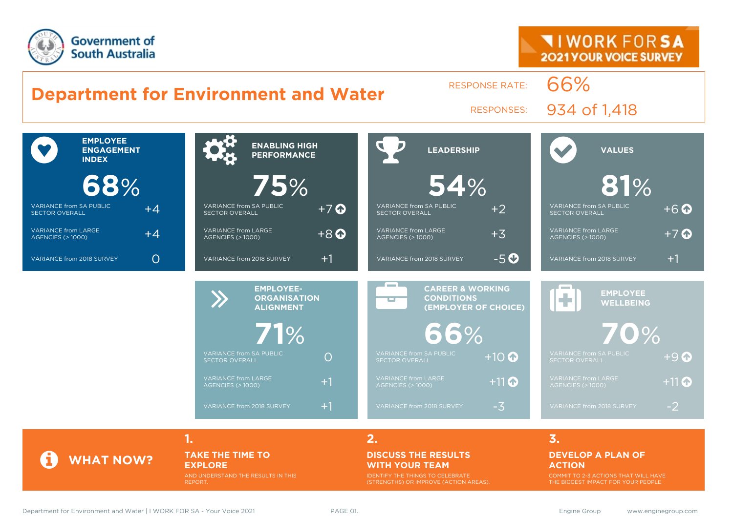



### **TAKE THE TIME TO EXPLORE**

AND UNDERSTAND THE RESULTS IN THIS REPORT.

#### **DISCUSS THE RESULTS WITH YOUR TEAM**

IDENTIFY THE THINGS TO CELEBRATE (STRENGTHS) OR IMPROVE (ACTION AREAS).

### **DEVELOP A PLAN OF ACTION**

COMMIT TO 2-3 ACTIONS THAT WILL HAVE THE BIGGEST IMPACT FOR YOUR PEOPLE.

**WHAT NOW?**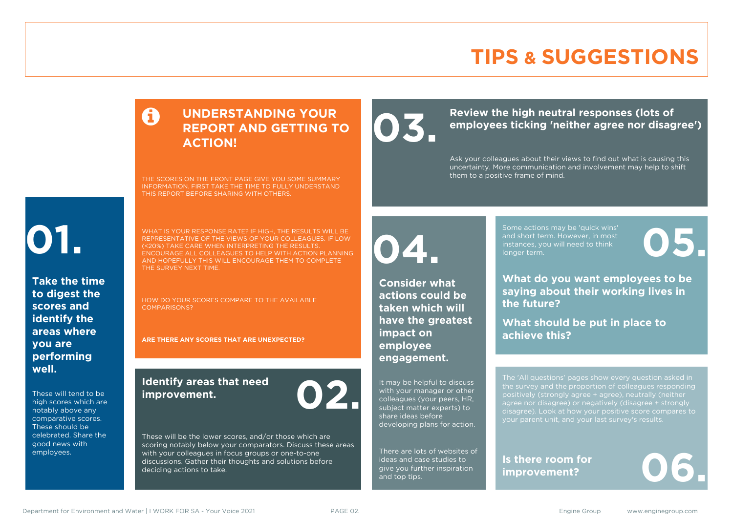# **TIPS & SUGGESTIONS**

### **UNDERSTANDING YOUR REPORT AND GETTING TO ACTION!**

THE SCORES ON THE FRONT PAGE GIVE YOU SOME SUMMARY INFORMATION. FIRST TAKE THE TIME TO FULLY UNDERSTAND THIS REPORT BEFORE SHARING WITH OTHERS.

# **01.**

**Take the time to digest the scores and identify the areas where you are performing well.**

These will tend to be high scores which are notably above any comparative scores. These should be celebrated. Share the good news with employees.

WHAT IS YOUR RESPONSE RATE? IF HIGH, THE RESULTS WILL BE REPRESENTATIVE OF THE VIEWS OF YOUR COLLEAGUES. IF LOW (<20%) TAKE CARE WHEN INTERPRETING THE RESULTS. ENCOURAGE ALL COLLEAGUES TO HELP WITH ACTION PLANNING AND HOPEFULLY THIS WILL ENCOURAGE THEM TO COMPLETE THE SURVEY NEXT TIME.

HOW DO YOUR SCORES COMPARE TO THE AVAILABLE COMPARISONS?

**ARE THERE ANY SCORES THAT ARE UNEXPECTED?**

### **Identify areas that need improvement. 02.**

These will be the lower scores, and/or those which are scoring notably below your comparators. Discuss these areas with your colleagues in focus groups or one-to-one discussions. Gather their thoughts and solutions before deciding actions to take.

**04.**

**impact on employee engagement.**

**Consider what actions could be taken which will have the greatest** 

It may be helpful to discuss with your manager or other colleagues (your peers, HR, subject matter experts) to share ideas before

developing plans for action.

There are lots of websites of ideas and case studies to give you further inspiration

and top tips.

Review the high neutral responses (lots of employees ticking 'neither agree nor disag **employees ticking 'neither agree nor disagree')**

> Ask your colleagues about their views to find out what is causing this uncertainty. More communication and involvement may help to shift them to a positive frame of mind.

> > Some actions may be 'quick wins' and short term. However, in most instances, you will need to think Some actions may be 'quick wins'<br>and short term. However, in most<br>instances, you will need to think<br>longer term.

**What do you want employees to be saying about their working lives in the future?**

**What should be put in place to achieve this?**

The 'All questions' pages show every question asked in positively (strongly agree + agree), neutrally (neither agree nor disagree) or negatively (disagree + strongly disagree). Look at how your positive score compares to your parent unit, and your last survey's results.

**Is there room for** 

Is there room for<br>improvement?

Department for Environment and Water | I WORK FOR SA - Your Voice 2021 PAGE 02. Engine Group www.enginegroup.com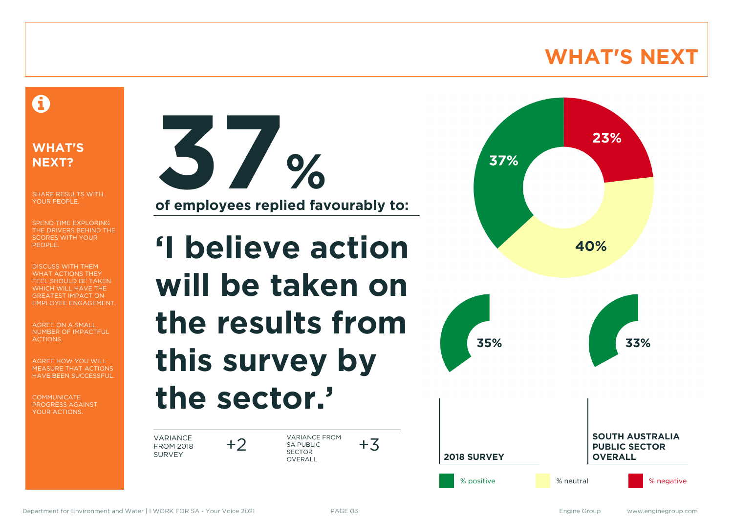# **WHAT'S NEXT**

### A

### **WHAT'S NEXT?**

SHARE RESULTS WITH YOUR PEOPLE.

SPEND TIME EXPLORING THE DRIVERS BEHIND THE SCORES WITH YOUR PEOPLE.

DISCUSS WITH THEM WHAT ACTIONS THEY FEEL SHOULD BE TAKEN WHICH WILL HAVE THE GREATEST IMPACT ON EMPLOYEE ENGAGEMENT.

AGREE ON A SMALL NUMBER OF IMPACTFUL ACTIONS.

AGREE HOW YOU WILL MEASURE THAT ACTIONS HAVE BEEN SUCCESSFUL.

**COMMUNICATE** PROGRESS AGAINST YOUR ACTIONS.



**of employees replied favourably to:**

# **'I believe action will be taken on the results from this survey by the sector.'**

VARIANCE FROM 2018 SURVEY

+2 VARIANCE FROM<br>SA PUBLIC SA PUBLIC SECTOR **OVERALL** 

23% 37% 40% **35% 33% SOUTH AUSTRALIA PUBLIC SECTOR 2018 SURVEY OVERALL** % positive **1990 meters** % neutral 1990 meters when we have some that we have some that we have some that we have some that we have some that we have some that we have some that we have some the some that we have some that

 $+3$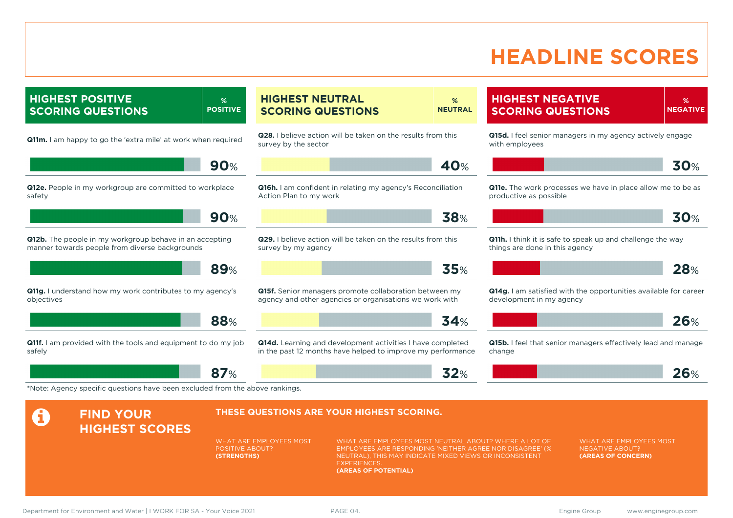# **HEADLINE SCORES**

**HIGHEST POSITIVE SCORING QUESTIONS**

**% POSITIVE**

**Q11m.** I am happy to go the 'extra mile' at work when required

**90**%

**Q12e.** People in my workgroup are committed to workplace safety

**90**%

**89**%

**Q12b.** The people in my workgroup behave in an accepting manner towards people from diverse backgrounds

**Q11g.** I understand how my work contributes to my agency's objectives

**Q11f.** I am provided with the tools and equipment to do my job safely

**HIGHEST SCORES**

**A** FIND YOUR

**87**%

**HIGHEST NEUTRAL SCORING QUESTIONS % NEUTRAL**

**Q28.** I believe action will be taken on the results from this survey by the sector

**40**%

**Q16h.** I am confident in relating my agency's Reconciliation Action Plan to my work

**Q29.** I believe action will be taken on the results from this survey by my agency

**35**%

**Q15f.** Senior managers promote collaboration between my agency and other agencies or organisations we work with

**Q14d.** Learning and development activities I have completed in the past 12 months have helped to improve my performance

### **HIGHEST NEGATIVE SCORING QUESTIONS**

**% NEGATIVE**

**26**%

**Q15d.** I feel senior managers in my agency actively engage with employees

**30**%

**Q11e.** The work processes we have in place allow me to be as productive as possible

|  | $\overline{z}$<br>$\tilde{\phantom{a}}$<br>∽ |
|--|----------------------------------------------|
|  |                                              |

**Q11h.** I think it is safe to speak up and challenge the way things are done in this agency

|  | .,<br><b>Contract Contract Contract</b> |
|--|-----------------------------------------|
|  |                                         |

**Q14g.** I am satisfied with the opportunities available for career development in my agency



**Q15b.** I feel that senior managers effectively lead and manage change

\*Note: Agency specific questions have been excluded from the above rankings.

#### **THESE QUESTIONS ARE YOUR HIGHEST SCORING.**

WHAT ARE EMPLOYEES MOST POSITIVE ABOUT? **(STRENGTHS)**

WHAT ARE EMPLOYEES MOST NEUTRAL ABOUT? WHERE A LOT OF EMPLOYEES ARE RESPONDING 'NEITHER AGREE NOR DISAGREE' (% NEUTRAL), THIS MAY INDICATE MIXED VIEWS OR INCONSISTENT **EXPERIENCES (AREAS OF POTENTIAL)**

**38**%

**34**%

**32**%

WHAT ARE EMPLOYEES MOST NEGATIVE ABOUT? **(AREAS OF CONCERN)**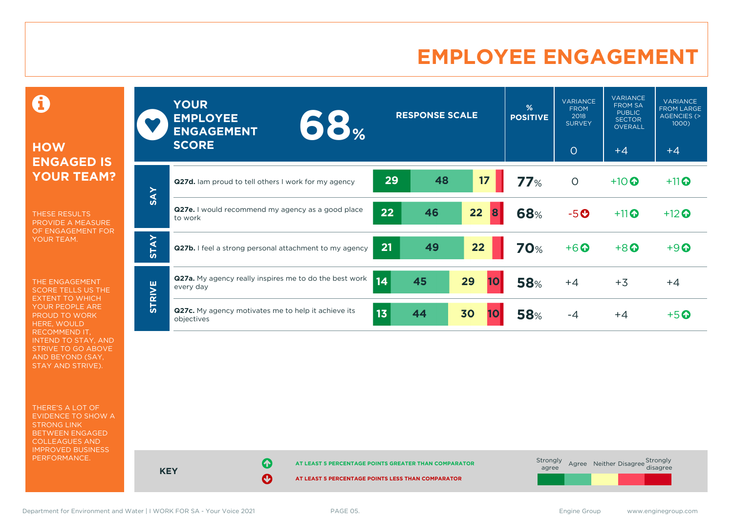# **EMPLOYEE ENGAGEMENT**

0

### **HOW ENGAGED IS YOUR TEAM?**

THESE RESULTS PROVIDE A MEASURE OF ENGAGEMENT FOR YOUR TEAM.

THE ENGAGEMENT SCORE TELLS US THE EXTENT TO WHICH YOUR PEOPLE ARE PROUD TO WORK HERE, WOULD RECOMMEND IT, INTEND TO STAY, AND STRIVE TO GO ABOVE AND BEYOND (SAY, STAY AND STRIVE).

THERE'S A LOT OF EVIDENCE TO SHOW A STRONG LINK BETWEEN ENGAGED COLLEAGUES AND IMPROVED BUSINESS PERFORMANCE.

|             | <b>YOUR</b><br><b>EMPLOYEE</b><br>$\bullet$ $\bullet$ $\circ$<br><b>ENGAGEMENT</b><br><b>SCORE</b> | <b>RESPONSE SCALE</b> |    |          | %<br><b>POSITIVE</b> | <b>VARIANCE</b><br><b>FROM</b><br>2018<br><b>SURVEY</b><br>$\circ$ | <b>VARIANCE</b><br><b>FROM SA</b><br><b>PUBLIC</b><br><b>SECTOR</b><br><b>OVERALL</b><br>$+4$ | <b>VARIANCE</b><br><b>FROM LARGE</b><br>AGENCIES (><br>1000)<br>$+4$ |
|-------------|----------------------------------------------------------------------------------------------------|-----------------------|----|----------|----------------------|--------------------------------------------------------------------|-----------------------------------------------------------------------------------------------|----------------------------------------------------------------------|
|             | <b>Q27d.</b> Iam proud to tell others I work for my agency                                         | 29                    | 48 | 17       | 77%                  | $\circ$                                                            | $+10$                                                                                         | $+11$ <sup>O</sup>                                                   |
| <b>SAY</b>  | <b>Q27e.</b> I would recommend my agency as a good place<br>to work                                | 22                    | 46 | 22<br>8  | 68%                  | $-5o$                                                              | $+11$ <sup>O</sup>                                                                            | $+12$ <sup>O</sup>                                                   |
| <b>STAY</b> | Q27b. I feel a strong personal attachment to my agency                                             | 21                    | 49 | 22       | <b>70%</b>           | $+6$ <sup>O</sup>                                                  | $+8$ <sup>O</sup>                                                                             | $+9$ <sup><math>\odot</math></sup>                                   |
|             | <b>Q27a.</b> My agency really inspires me to do the best work<br>every day                         | 14                    | 45 | 29<br>10 | <b>58%</b>           | $+4$                                                               | $+3$                                                                                          | $+4$                                                                 |
| STRIVE      | Q27c. My agency motivates me to help it achieve its<br>objectives                                  | 13                    | 44 | 30<br>10 | <b>58%</b>           | -4                                                                 | $+4$                                                                                          | $+5$ $\odot$                                                         |



Department for Environment and Water | I WORK FOR SA - Your Voice 2021 PAGE 05. The Same Communication of the SA - Your Voice 2021 PAGE 05.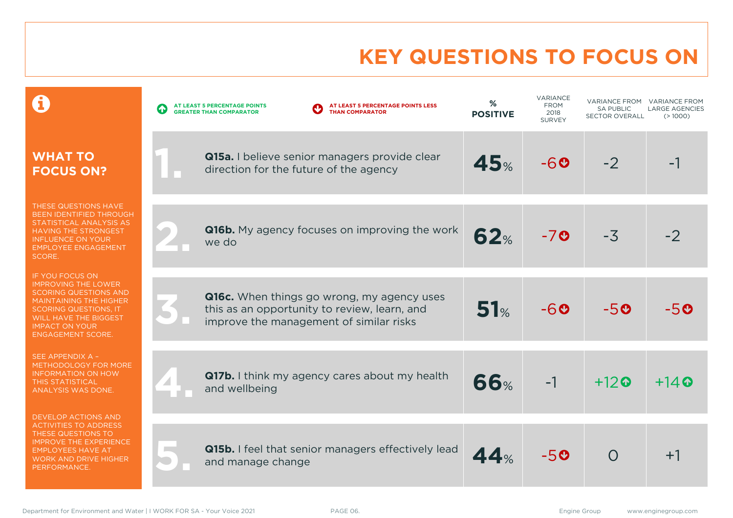# **KEY QUESTIONS TO FOCUS ON**

|                                                                                                                                                                                                                                     | AT LEAST 5 PERCENTAGE POINTS LESS<br>AT LEAST 5 PERCENTAGE POINTS<br>$\bf G$<br><b>THAN COMPARATOR</b><br><b>GREATER THAN COMPARATOR</b> | %<br><b>POSITIVE</b> | VARIANCE<br><b>FROM</b><br>2018<br><b>SURVEY</b> | <b>VARIANCE FROM</b><br><b>SA PUBLIC</b><br><b>SECTOR OVERALL</b> | <b>VARIANCE FROM</b><br><b>LARGE AGENCIES</b><br>(>1000) |
|-------------------------------------------------------------------------------------------------------------------------------------------------------------------------------------------------------------------------------------|------------------------------------------------------------------------------------------------------------------------------------------|----------------------|--------------------------------------------------|-------------------------------------------------------------------|----------------------------------------------------------|
| <b>WHAT TO</b><br><b>FOCUS ON?</b>                                                                                                                                                                                                  | Q15a. I believe senior managers provide clear<br>direction for the future of the agency                                                  | 45%                  | $-60$                                            | $-2$                                                              |                                                          |
| THESE QUESTIONS HAVE<br><b>BEEN IDENTIFIED THROUGH</b><br>STATISTICAL ANALYSIS AS<br><b>HAVING THE STRONGEST</b><br>INFLUENCE ON YOUR<br><b>EMPLOYEE ENGAGEMENT</b><br>SCORE.                                                       | <b>Q16b.</b> My agency focuses on improving the work<br>we do                                                                            | 62%                  | $-7o$                                            | $-3$                                                              |                                                          |
| <b>IF YOU FOCUS ON</b><br><b>IMPROVING THE LOWER</b><br><b>SCORING QUESTIONS AND</b><br><b>MAINTAINING THE HIGHER</b><br><b>SCORING QUESTIONS, IT</b><br>WILL HAVE THE BIGGEST<br><b>IMPACT ON YOUR</b><br><b>ENGAGEMENT SCORE.</b> | Q16c. When things go wrong, my agency uses<br>this as an opportunity to review, learn, and<br>improve the management of similar risks    | 51%                  | $-60$                                            | $-50$                                                             | -50                                                      |
| SEE APPENDIX A -<br>METHODOLOGY FOR MORE<br><b>INFORMATION ON HOW</b><br><b>THIS STATISTICAL</b><br>ANALYSIS WAS DONE.                                                                                                              | Q17b. I think my agency cares about my health<br>and wellbeing                                                                           | <b>66%</b>           | $-1$                                             | $+12$ <sup><math>\odot</math></sup>                               | $+14$ <sup><math>\odot</math></sup>                      |
| DEVELOP ACTIONS AND<br><b>ACTIVITIES TO ADDRESS</b><br>THESE QUESTIONS TO<br><b>IMPROVE THE EXPERIENCE</b><br><b>EMPLOYEES HAVE AT</b><br><b>WORK AND DRIVE HIGHER</b><br>PERFORMANCE.                                              | Q15b. I feel that senior managers effectively lead<br>and manage change                                                                  | 44%                  | $-50$                                            | $\Omega$                                                          | $+1$                                                     |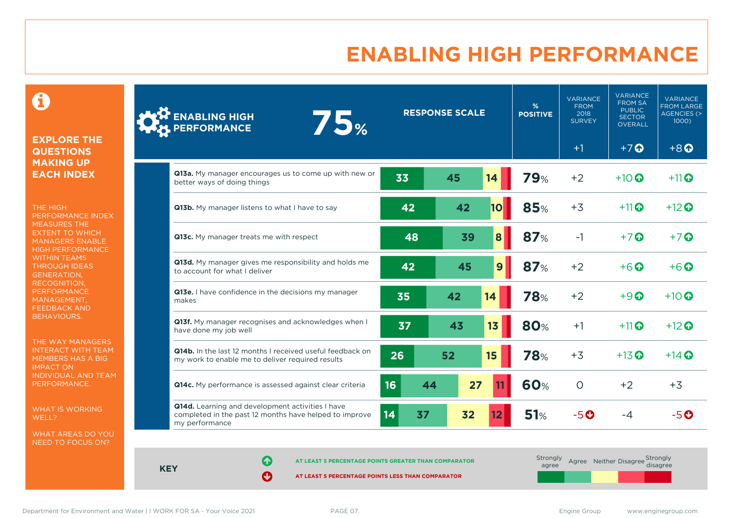# **ENABLING HIGH PERFORMANCE**

 $\mathbf \Theta$ 

### **EXPLORE THE QUESTIONS MAKING UP EACH INDEX**

THE HIGH PERFORMANCE INDEX MEASURES THE EXTENT TO WHICH MANAGERS ENABLE HIGH PERFORMANCE WITHIN TEAMS THROUGH IDEAS GENERATION, RECOGNITION, **PERFORMANCE** MANAGEMENT, FEEDBACK AND BEHAVIOURS.

THE WAY MANAGERS INTERACT WITH TEAM MEMBERS HAS A BIG IMPACT ON INDIVIDUAL AND TEAM PERFORMANCE.

WHAT IS WORKING WELL?

WHAT AREAS DO YOU NEED TO FOCUS ON?

| <b>ENABLING HIGH</b><br><b>75%</b><br><b>PERFORMANCE</b>                                                                     | <b>RESPONSE SCALE</b> |          |                | %<br><b>POSITIVE</b> | <b>VARIANCE</b><br><b>FROM</b><br>2018<br><b>SURVEY</b> | <b>VARIANCE</b><br><b>FROM SA</b><br><b>PUBLIC</b><br><b>SECTOR</b><br><b>OVERALL</b> | <b>VARIANCE</b><br><b>FROM LARGE</b><br><b>AGENCIES (&gt;</b><br>1000) |
|------------------------------------------------------------------------------------------------------------------------------|-----------------------|----------|----------------|----------------------|---------------------------------------------------------|---------------------------------------------------------------------------------------|------------------------------------------------------------------------|
|                                                                                                                              |                       |          |                |                      | $+1$                                                    | $+7$ $\Omega$                                                                         | $+8$ <sup><math>\odot</math></sup>                                     |
| Q13a. My manager encourages us to come up with new or<br>better ways of doing things                                         | 33                    | 45       | 14             | <b>79%</b>           | $+2$                                                    | $+10$ $\odot$                                                                         | $+11$ $\odot$                                                          |
| Q13b. My manager listens to what I have to say                                                                               | 42                    | 42       | 10             | <b>85%</b>           | $+3$                                                    | $+11$                                                                                 | $+12$ $\odot$                                                          |
| Q13c. My manager treats me with respect                                                                                      | 48                    | 39       | 8              | 87%                  | $-1$                                                    | $+7$ $\odot$                                                                          | $+7$ $\odot$                                                           |
| Q13d. My manager gives me responsibility and holds me<br>to account for what I deliver                                       | 42                    | 45       | 9 <sup>°</sup> | 87%                  | $+2$                                                    | $+6$ $\odot$                                                                          | $+6\,\Omega$                                                           |
| Q13e. I have confidence in the decisions my manager<br>makes                                                                 | 35                    | 42       | 14             | <b>78%</b>           | $+2$                                                    | $+9$ <sup><math>\odot</math></sup>                                                    | $+10$ $\odot$                                                          |
| Q13f. My manager recognises and acknowledges when I<br>have done my job well                                                 | 37                    | 43       | 13             | <b>80%</b>           | $+1$                                                    | $+11$                                                                                 | $+12$ $\odot$                                                          |
| Q14b. In the last 12 months I received useful feedback on<br>my work to enable me to deliver required results                | 26                    | 52       | 15             | <b>78%</b>           | $+3$                                                    | $+13$ <sup>O</sup>                                                                    | $+14$ $\odot$                                                          |
| Q14c. My performance is assessed against clear criteria                                                                      | 16                    | 27<br>44 |                | <b>60%</b>           | $\circ$                                                 | $+2$                                                                                  | $+3$                                                                   |
| Q14d. Learning and development activities I have<br>completed in the past 12 months have helped to improve<br>my performance | 14                    | 32<br>37 | 12             | 51%                  | $-5o$                                                   | $-4$                                                                                  | $-5o$                                                                  |

**KEY**

**AT LEAST 5 PERCENTAGE POINTS GREATER THAN COMPARATOR** 

| Strongly<br>agree | Agree Neither Disagree Strongly<br>disagree |  |
|-------------------|---------------------------------------------|--|
|                   |                                             |  |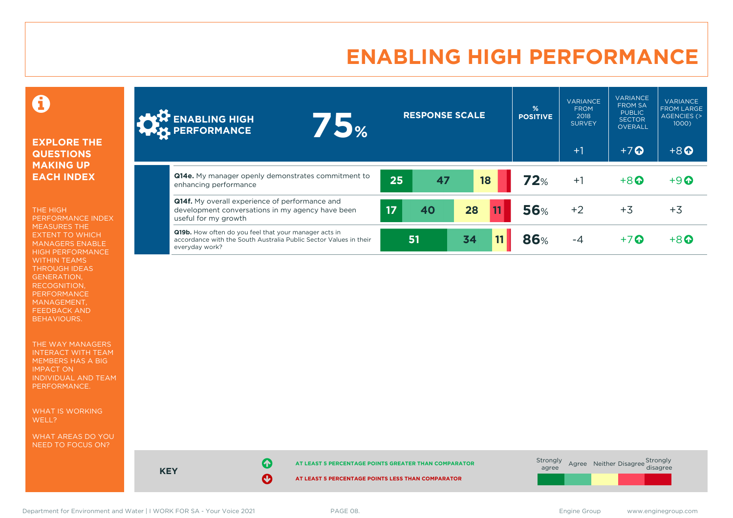# **ENABLING HIGH PERFORMANCE**



### **EXPLORE THE QUESTIONS MAKING UP EACH INDEX**

THE HIGH PERFORMANCE INDEX MEASURES THE EXTENT TO WHICH MANAGERS ENABLE HIGH PERFORMANCE WITHIN TEAMS THROUGH IDEAS GENERATION, RECOGNITION, PERFORMANCE MANAGEMENT, FEEDBACK AND BEHAVIOURS.

THE WAY MANAGERS INTERACT WITH TEAM MEMBERS HAS A BIG IMPACT ON INDIVIDUAL AND TEAM PERFORMANCE.

WHAT IS WORKING WELL?

WHAT AREAS DO YOU NEED TO FOCUS ON?

| <b>ANT ENABLING HIGH</b><br>5%<br><b>A</b>                                                                                                          | <b>RESPONSE SCALE</b> |    | %<br><b>POSITIVE</b> | <b>VARIANCE</b><br><b>FROM</b><br>2018<br><b>SURVEY</b><br>$+1$ | <b>VARIANCE</b><br><b>FROM SA</b><br><b>PUBLIC</b><br><b>SECTOR</b><br><b>OVERALL</b><br>$+7$ $\Omega$ | <b>VARIANCE</b><br><b>FROM LARGE</b><br>AGENCIES (><br>$1000$ )<br>$+8$ <sup><math>\odot</math></sup> |
|-----------------------------------------------------------------------------------------------------------------------------------------------------|-----------------------|----|----------------------|-----------------------------------------------------------------|--------------------------------------------------------------------------------------------------------|-------------------------------------------------------------------------------------------------------|
| <b>Q14e.</b> My manager openly demonstrates commitment to<br>enhancing performance                                                                  | 25<br>47              | 18 | 72%                  | $+1$                                                            | $+8$                                                                                                   | $+9$ <sup><math>\odot</math></sup>                                                                    |
| <b>Q14f.</b> My overall experience of performance and<br>development conversations in my agency have been<br>useful for my growth                   | 17<br>40              | 28 | <b>56%</b>           | $+2$                                                            | $+3$                                                                                                   | $+3$                                                                                                  |
| <b>Q19b.</b> How often do you feel that your manager acts in<br>accordance with the South Australia Public Sector Values in their<br>everyday work? | 51                    | 34 | 86%                  | $-4$                                                            | $+7$ $\odot$                                                                                           | $+8$ <sup><math>\Omega</math></sup>                                                                   |



Department for Environment and Water | I WORK FOR SA - Your Voice 2021 PAGE 08. The Same Communication of the SA - Your Voice 2021 PAGE 08.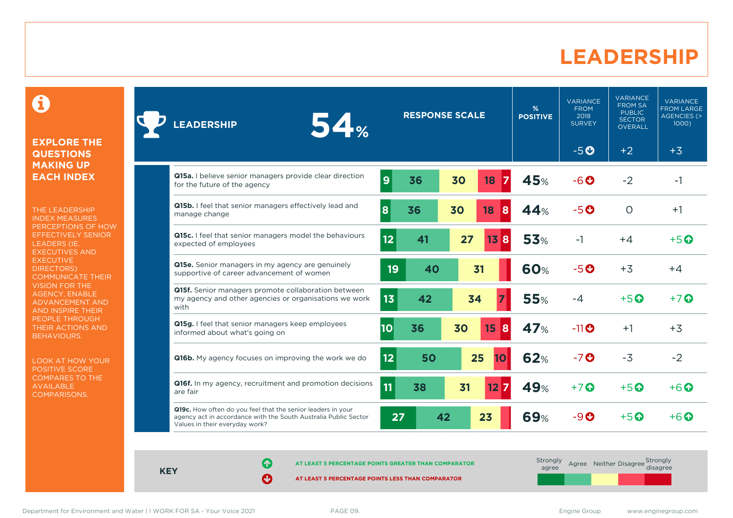### **LEADERSHIP**

0

#### **EXPLORE THE QUESTIONS MAKING UP EACH INDEX**

THE LEADERSHIP INDEX MEASURES PERCEPTIONS OF HOW EFFECTIVELY SENIOR LEADERS (IE. EXECUTIVES AND **EXECUTIVE** DIRECTORS) COMMUNICATE THEIR VISION FOR THE AGENCY, ENABLE ADVANCEMENT AND AND INSPIRE THEIR PEOPLE THROUGH THEIR ACTIONS AND BEHAVIOURS.

LOOK AT HOW YOUR POSITIVE SCORE COMPARES TO THE AVAILABLE COMPARISONS.

| 54%<br><b>LEADERSHIP</b>                                                                                                                                         |                | <b>RESPONSE SCALE</b> |    |          | %<br><b>POSITIVE</b> | <b>VARIANCE</b><br><b>FROM</b><br>2018<br><b>SURVEY</b> | <b>VARIANCE</b><br><b>FROM SA</b><br><b>PUBLIC</b><br><b>SECTOR</b><br><b>OVERALL</b> | <b>VARIANCE</b><br><b>FROM LARGE</b><br><b>AGENCIES (&gt;</b><br>1000) |
|------------------------------------------------------------------------------------------------------------------------------------------------------------------|----------------|-----------------------|----|----------|----------------------|---------------------------------------------------------|---------------------------------------------------------------------------------------|------------------------------------------------------------------------|
|                                                                                                                                                                  |                |                       |    |          |                      | $-5O$                                                   | $+2$                                                                                  | $+3$                                                                   |
| Q15a. I believe senior managers provide clear direction<br>for the future of the agency                                                                          | $\overline{9}$ | 36                    | 30 | 18       | 45%                  | $-6o$                                                   | $-2$                                                                                  | -1                                                                     |
| Q15b. I feel that senior managers effectively lead and<br>manage change                                                                                          | 8              | 36                    | 30 | 18<br>8  | 44%                  | $-5o$                                                   | $\Omega$                                                                              | $+1$                                                                   |
| Q15c. I feel that senior managers model the behaviours<br>expected of employees                                                                                  | 12             | 41                    | 27 | 13<br>8  | <b>53%</b>           | $-1$                                                    | $+4$                                                                                  | $+5$ $\odot$                                                           |
| Q15e. Senior managers in my agency are genuinely<br>supportive of career advancement of women                                                                    | 19             | 40                    |    | 31       | <b>60%</b>           | $-5o$                                                   | $+3$                                                                                  | $+4$                                                                   |
| Q15f. Senior managers promote collaboration between<br>my agency and other agencies or organisations we work<br>with                                             | 13             | 42                    |    | 34       | <b>55%</b>           | $-4$                                                    | $+5$ <sup>O</sup>                                                                     | $+7$ $\odot$                                                           |
| Q15g. I feel that senior managers keep employees<br>informed about what's going on                                                                               | 10             | 36                    | 30 | 15<br>8  | <b>47%</b>           | $-11$ <sup>O</sup>                                      | $+1$                                                                                  | $+3$                                                                   |
| <b>Q16b.</b> My agency focuses on improving the work we do                                                                                                       | 12             | 50                    |    | 25<br>10 | <b>62%</b>           | $-7o$                                                   | $-3$                                                                                  | $-2$                                                                   |
| Q16f. In my agency, recruitment and promotion decisions<br>are fair                                                                                              | 11             | 38                    | 31 | 12       | 49%                  | $+7$ $\odot$                                            | $+5$ <sup><math>\odot</math></sup>                                                    | $+6$ $\odot$                                                           |
| Q19c. How often do you feel that the senior leaders in your<br>agency act in accordance with the South Australia Public Sector<br>Values in their everyday work? | 27             | 42                    |    | 23       | <b>69%</b>           | $-9o$                                                   | $+5$ $\odot$                                                                          | $+6\,\Omega$                                                           |

**KEY**

**AT LEAST 5 PERCENTAGE POINTS GREATER THAN COMPARATOR**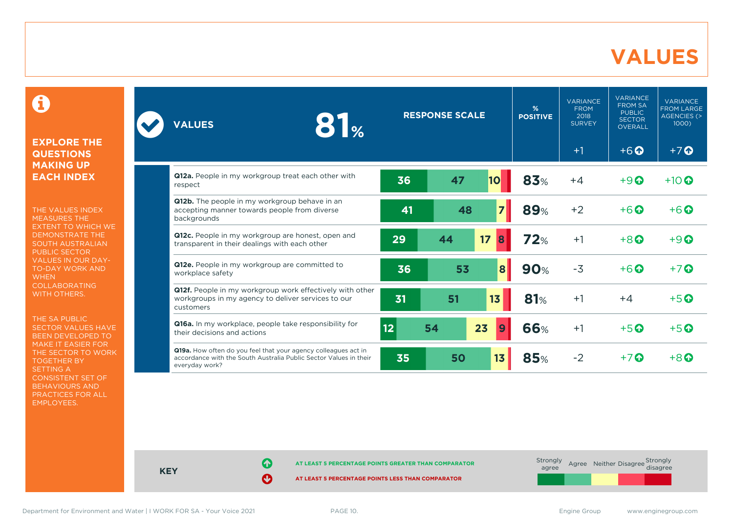### **VALUES**

0

### **EXPLORE THE QUESTIONS MAKING UP EACH INDEX**

THE VALUES INDEX MEASURES THE EXTENT TO WHICH WE DEMONSTRATE THE SOUTH AUSTRALIAN PUBLIC SECTOR VALUES IN OUR DAY-TO-DAY WORK AND **WHEN** COLLABORATING WITH OTHERS.

THE SA PUBLIC SECTOR VALUES HAVE BEEN DEVELOPED TO MAKE IT EASIER FOR THE SECTOR TO WORK TOGETHER BY SETTING A CONSISTENT SET OF BEHAVIOURS AND PRACTICES FOR ALL EMPLOYEES.

| <b>RESPONSE SCALE</b><br>81 <sub>%</sub><br><b>VALUES</b>                                                                                             | $\frac{9}{6}$<br><b>POSITIVE</b> | <b>VARIANCE</b><br><b>FROM</b><br>2018<br><b>SURVEY</b> | <b>VARIANCE</b><br><b>FROM SA</b><br><b>PUBLIC</b><br><b>SECTOR</b><br><b>OVERALL</b> | <b>VARIANCE</b><br><b>FROM LARGE</b><br><b>AGENCIES (&gt;</b><br>1000) |      |                                    |                                    |
|-------------------------------------------------------------------------------------------------------------------------------------------------------|----------------------------------|---------------------------------------------------------|---------------------------------------------------------------------------------------|------------------------------------------------------------------------|------|------------------------------------|------------------------------------|
|                                                                                                                                                       |                                  |                                                         |                                                                                       |                                                                        | $+1$ | $+6$ <sup><math>\odot</math></sup> | $+7$ $\odot$                       |
| Q12a. People in my workgroup treat each other with<br>respect                                                                                         | 36                               | 47                                                      | 10                                                                                    | 83%                                                                    | $+4$ | $+9$ <sup><math>\odot</math></sup> | $+10$ $\odot$                      |
| Q12b. The people in my workgroup behave in an<br>accepting manner towards people from diverse<br>backgrounds                                          | 41                               | 48                                                      | $\overline{7}$                                                                        | <b>89%</b>                                                             | $+2$ | $+6$ $\odot$                       | $+6$ $\odot$                       |
| Q12c. People in my workgroup are honest, open and<br>transparent in their dealings with each other                                                    | 29                               | 44                                                      | 17<br>8                                                                               | 72%                                                                    | $+1$ | $+8$ <sup><math>\odot</math></sup> | $+9$ $\Omega$                      |
| Q12e. People in my workgroup are committed to<br>workplace safety                                                                                     | 36                               | 53                                                      | $\boldsymbol{8}$                                                                      | <b>90%</b>                                                             | $-3$ | $+6$ $\odot$                       | $+7$ $\odot$                       |
| Q12f. People in my workgroup work effectively with other<br>workgroups in my agency to deliver services to our<br>customers                           | 31                               | 51                                                      | 13                                                                                    | 81%                                                                    | $+1$ | $+4$                               | $+5$ $\odot$                       |
| Q16a. In my workplace, people take responsibility for<br>their decisions and actions                                                                  | 12                               | 54                                                      | 23<br>9                                                                               | 66%                                                                    | $+1$ | $+5$ $\odot$                       | $+5$ <sup><math>\odot</math></sup> |
| Q19a. How often do you feel that your agency colleagues act in<br>accordance with the South Australia Public Sector Values in their<br>everyday work? | 35                               | 50                                                      | 13                                                                                    | 85%                                                                    | $-2$ | $+7$ $\odot$                       | $+8$ $\odot$                       |



**KEY**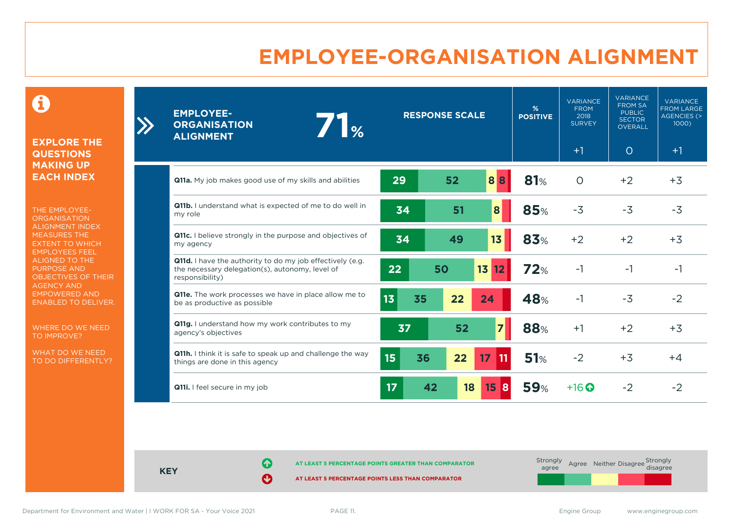# **EMPLOYEE-ORGANISATION ALIGNMENT**

0

**EXPLORE THE QUESTIONS MAKING UP EACH INDEX**

THE EMPLOYEE-**ORGANISATION** ALIGNMENT INDEX MEASURES THE EXTENT TO WHICH EMPLOYEES FEEL ALIGNED TO THE PURPOSE AND OBJECTIVES OF THEIR AGENCY AND EMPOWERED AND ENABLED TO DELIVER.

WHERE DO WE NEED TO IMPROVE?

WHAT DO WE NEED TO DO DIFFERENTLY?

| <b>EMPLOYEE-</b><br><b>ORGANISATION</b><br><b>ALIGNMENT</b>                                                                     | 7 <sub>1%</sub> | <b>RESPONSE SCALE</b> |                       |                       | $\frac{9}{6}$<br><b>POSITIVE</b> | <b>VARIANCE</b><br><b>FROM</b><br>2018<br><b>SURVEY</b> | <b>VARIANCE</b><br><b>FROM SA</b><br><b>PUBLIC</b><br><b>SECTOR</b><br><b>OVERALL</b> | <b>VARIANCE</b><br><b>FROM LARGE</b><br>AGENCIES (><br>1000 |
|---------------------------------------------------------------------------------------------------------------------------------|-----------------|-----------------------|-----------------------|-----------------------|----------------------------------|---------------------------------------------------------|---------------------------------------------------------------------------------------|-------------------------------------------------------------|
|                                                                                                                                 |                 |                       |                       |                       |                                  | $+1$                                                    | $\circ$                                                                               | $+1$                                                        |
| Q11a. My job makes good use of my skills and abilities                                                                          |                 | 29                    | 52                    | 88                    | 81%                              | $\circ$                                                 | $+2$                                                                                  | $+3$                                                        |
| <b>Q11b.</b> I understand what is expected of me to do well in<br>my role                                                       |                 | 34                    | 51                    | 8                     | 85%                              | $-3$                                                    | $-3$                                                                                  | $-3$                                                        |
| Q11c. I believe strongly in the purpose and objectives of<br>my agency                                                          |                 | 34                    | 49                    | 13                    | 83%                              | $+2$                                                    | $+2$                                                                                  | $+3$                                                        |
| Q11d. I have the authority to do my job effectively (e.g.<br>the necessary delegation(s), autonomy, level of<br>responsibility) |                 | 22                    | 50                    | 13<br>12              | 72%                              | $-1$                                                    | $-1$                                                                                  | $-1$                                                        |
| Q11e. The work processes we have in place allow me to<br>be as productive as possible                                           |                 | 13<br>35              | 22                    | 24                    | 48%                              | $-1$                                                    | $-3$                                                                                  | $-2$                                                        |
| Q11g. I understand how my work contributes to my<br>agency's objectives                                                         |                 | 37                    | 52                    | $\overline{7}$        | 88%                              | $+1$                                                    | $+2$                                                                                  | $+3$                                                        |
| Q11h. I think it is safe to speak up and challenge the way<br>things are done in this agency                                    |                 | 15 <sub>15</sub>      | 22<br>36              | 17 <sup>2</sup><br>11 | 51%                              | $-2$                                                    | $+3$                                                                                  | $+4$                                                        |
| Q11i. I feel secure in my job                                                                                                   |                 | 17                    | 42<br>18 <sup>°</sup> | $15 \vert 8$          | <b>59%</b>                       | $+16$ <sup>O</sup>                                      | $-2$                                                                                  | $-2$                                                        |

**KEY**

**AT LEAST 5 PERCENTAGE POINTS GREATER THAN COMPARATOR** 

**AT LEAST 5 PERCENTAGE POINTS LESS THAN COMPARATOR** 

 $\sum_{i=1}^{n}$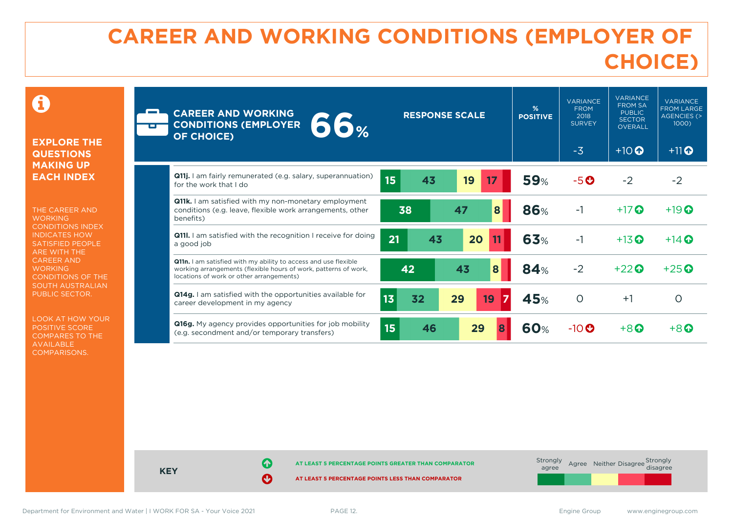# **CAREER AND WORKING CONDITIONS (EMPLOYER OF CHOICE)**

 $\mathbf \Omega$ 

### **EXPLORE THE QUESTIONS MAKING UP EACH INDEX**

THE CAREER AND **WORKING** CONDITIONS INDEX INDICATES HOW SATISFIED PEOPLE ARE WITH THE CAREER AND **WORKING** CONDITIONS OF THE SOUTH AUSTRALIAN PUBLIC SECTOR.

LOOK AT HOW YOUR POSITIVE SCORE COMPARES TO THE AVAILABLE COMPARISONS.

| <b>Filte</b> | <b>CAREER AND WORKING</b><br><b>66%</b><br><b>CONDITIONS (EMPLOYER</b><br><b>OF CHOICE)</b>                                                                                           | <b>RESPONSE SCALE</b> | %<br><b>POSITIVE</b> | <b>VARIANCE</b><br><b>FROM</b><br>2018<br><b>SURVEY</b><br>$-3$ | <b>VARIANCE</b><br><b>FROM SA</b><br><b>PUBLIC</b><br><b>SECTOR</b><br><b>OVERALL</b><br>$+10$ <sup>O</sup> | <b>VARIANCE</b><br><b>FROM LARGE</b><br><b>AGENCIES (&gt;</b><br>1000)<br>$+11$ <sup>O</sup> |
|--------------|---------------------------------------------------------------------------------------------------------------------------------------------------------------------------------------|-----------------------|----------------------|-----------------------------------------------------------------|-------------------------------------------------------------------------------------------------------------|----------------------------------------------------------------------------------------------|
|              | Q11j. I am fairly remunerated (e.g. salary, superannuation)<br>for the work that I do                                                                                                 | 15<br>43<br>19<br>17  | <b>59%</b>           | $-5o$                                                           | $-2$                                                                                                        | $-2$                                                                                         |
|              | <b>Q11k.</b> I am satisfied with my non-monetary employment<br>conditions (e.g. leave, flexible work arrangements, other<br>benefits)                                                 | 38<br>47<br>8         | <b>86%</b>           | $-1$                                                            | $+17$ $\odot$                                                                                               | $+19$ $\odot$                                                                                |
|              | <b>Q111.</b> I am satisfied with the recognition I receive for doing<br>a good job                                                                                                    | 21<br>43<br>20        | <b>63%</b>           | $-1$                                                            | $+13$ $\odot$                                                                                               | $+14$ $\odot$                                                                                |
|              | <b>Q11n.</b> I am satisfied with my ability to access and use flexible<br>working arrangements (flexible hours of work, patterns of work,<br>locations of work or other arrangements) | 42<br>43<br>8         | 84%                  | $-2$                                                            | $+22$ $\odot$                                                                                               | $+25$ $\odot$                                                                                |
|              | <b>Q14g.</b> I am satisfied with the opportunities available for<br>career development in my agency                                                                                   | 13<br>32<br>29<br>19  | 45%                  | $\circ$                                                         | $+1$                                                                                                        | O                                                                                            |
|              | <b>Q16g.</b> My agency provides opportunities for job mobility<br>(e.g. secondment and/or temporary transfers)                                                                        | 15<br>46<br>29        | 60%                  | $-10$ $\odot$                                                   | $+8$ $\Omega$                                                                                               | $+8$ $\mathbf{\Omega}$                                                                       |



Department for Environment and Water | I WORK FOR SA - Your Voice 2021 PAGE 12. The Same Communication of the SA - Your Voice 2021 PAGE 12.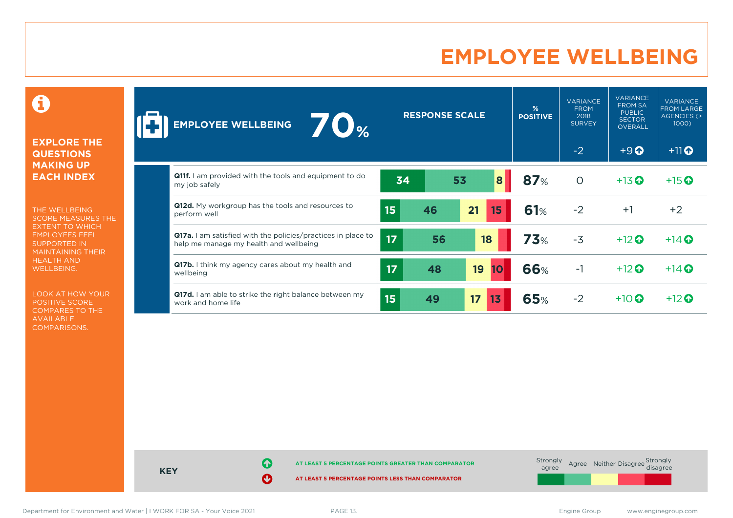# **EMPLOYEE WELLBEING**

0

### **EXPLORE THE QUESTIONS MAKING UP EACH INDEX**

THE WELLBEING SCORE MEASURES THE EXTENT TO WHICH EMPLOYEES FEEL SUPPORTED IN MAINTAINING THEIR HEALTH AND WELLBEING.

LOOK AT HOW YOUR POSITIVE SCORE COMPARES TO THE AVAILABLE COMPARISONS.

| 70%<br><b>EMPLOYEE WELLBEING</b>                                                                              |    | <b>RESPONSE SCALE</b> |                        | %<br><b>POSITIVE</b> | <b>VARIANCE</b><br><b>FROM</b><br>2018<br><b>SURVEY</b> | <b>VARIANCE</b><br><b>FROM SA</b><br><b>PUBLIC</b><br><b>SECTOR</b><br><b>OVERALL</b> | <b>VARIANCE</b><br><b>FROM LARGE</b><br>AGENCIES (><br>1000) |
|---------------------------------------------------------------------------------------------------------------|----|-----------------------|------------------------|----------------------|---------------------------------------------------------|---------------------------------------------------------------------------------------|--------------------------------------------------------------|
|                                                                                                               |    |                       |                        |                      | $-2$                                                    | $+9$ <sup><math>\odot</math></sup>                                                    | $+11$ <sup>O</sup>                                           |
| <b>Q11f.</b> I am provided with the tools and equipment to do<br>my job safely                                | 34 |                       | $\boldsymbol{8}$<br>53 | 87%                  | $\circ$                                                 | $+13$ <sup>O</sup>                                                                    | $+15$ <sup>O</sup>                                           |
| Q12d. My workgroup has the tools and resources to<br>perform well                                             | 15 | 46                    | 21<br>15               | 61%                  | $-2$                                                    | $+1$                                                                                  | $+2$                                                         |
| <b>Q17a.</b> I am satisfied with the policies/practices in place to<br>help me manage my health and wellbeing | 17 | 56                    | 18                     | <b>73%</b>           | $-3$                                                    | $+12$ $\odot$                                                                         | $+14$ $\odot$                                                |
| Q17b. I think my agency cares about my health and<br>wellbeing                                                | 17 | 48                    | 19<br>10               | 66%                  | $-1$                                                    | $+12$ $\odot$                                                                         | $+14$ $\odot$                                                |
| Q17d. I am able to strike the right balance between my<br>work and home life                                  | 15 | 49                    | 17<br>13               | <b>65%</b>           | $-2$                                                    | $+10$ $\odot$                                                                         | $+12$ $\odot$                                                |



Department for Environment and Water | I WORK FOR SA - Your Voice 2021 PAGE 13. The Same Communication of the SA - Your Voice 2021 PAGE 13.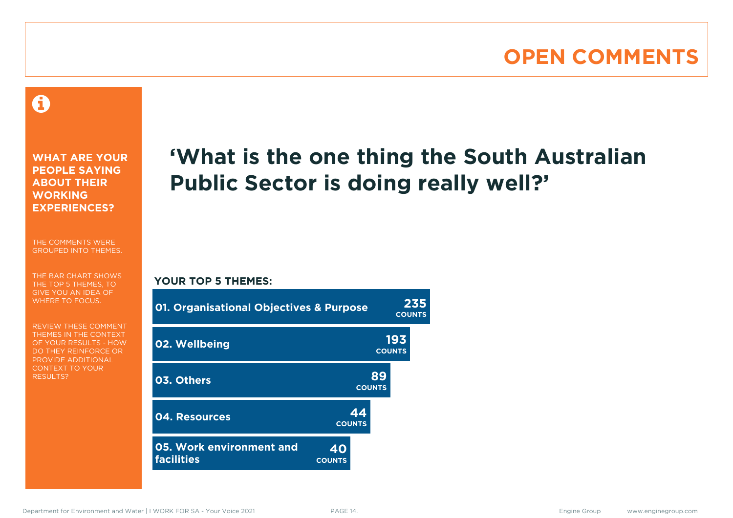# **OPEN COMMENTS**

### 0

**WHAT ARE YOUR PEOPLE SAYING ABOUT THEIR WORKING EXPERIENCES?**

THE COMMENTS WERE GROUPED INTO THEMES.

THE BAR CHART SHOWS THE TOP 5 THEMES, TO GIVE YOU AN IDEA OF WHERE TO FOCUS.

REVIEW THESE COMMENT THEMES IN THE CONTEXT OF YOUR RESULTS - HOW DO THEY REINFORCE OR PROVIDE ADDITIONAL CONTEXT TO YOUR **RESULTS?** 

# **'What is the one thing the South Australian Public Sector is doing really well?'**

### **YOUR TOP 5 THEMES:**

| <b>01. Organisational Objectives &amp; Purpose</b> |                     | 235<br><b>COUNTS</b> |  |
|----------------------------------------------------|---------------------|----------------------|--|
| 02. Wellbeing                                      |                     | 193<br><b>COUNTS</b> |  |
| 03. Others                                         |                     | 89<br><b>COUNTS</b>  |  |
| 04. Resources                                      | 44<br><b>COUNTS</b> |                      |  |
| 05. Work environment and<br><b>facilities</b>      | 40<br><b>COUNTS</b> |                      |  |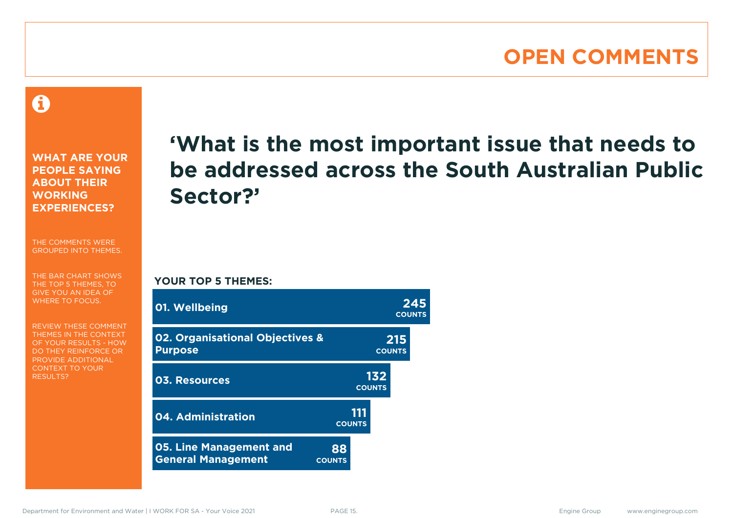### **OPEN COMMENTS**

A

**WHAT ARE YOUR PEOPLE SAYING ABOUT THEIR WORKING EXPERIENCES?**

THE COMMENTS WERE GROUPED INTO THEMES.

THE BAR CHART SHOWS THE TOP 5 THEMES, TO GIVE YOU AN IDEA OF WHERE TO FOCUS.

REVIEW THESE COMMENT THEMES IN THE CONTEXT OF YOUR RESULTS - HOW DO THEY REINFORCE OR PROVIDE ADDITIONAL CONTEXT TO YOUR **RESULTS?** 

# **'What is the most important issue that needs to be addressed across the South Australian Public Sector?'**

**YOUR TOP 5 THEMES:**

| 01. Wellbeing                                               |                      | 245<br><b>COUNTS</b> |
|-------------------------------------------------------------|----------------------|----------------------|
| 02. Organisational Objectives &<br><b>Purpose</b>           |                      | 215<br><b>COUNTS</b> |
| 03. Resources                                               | <b>COUNTS</b>        | 132                  |
| 04. Administration                                          | 111<br><b>COUNTS</b> |                      |
| <b>05. Line Management and</b><br><b>General Management</b> | 88<br><b>COUNTS</b>  |                      |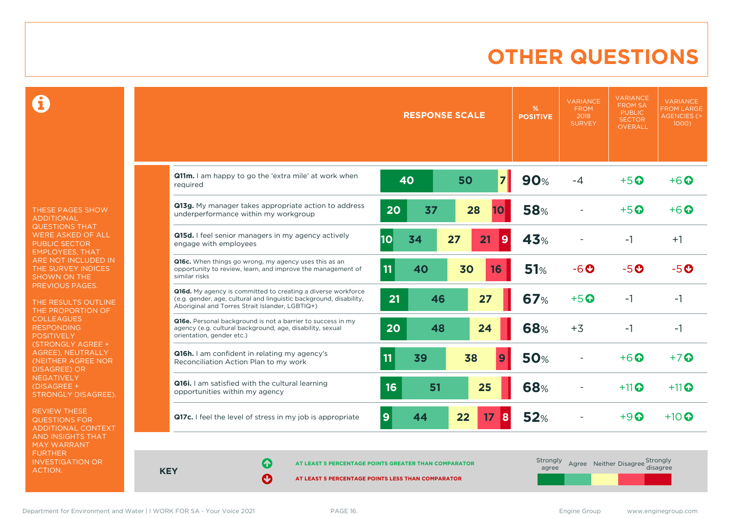# **OTHER QUESTIONS**

Ô

THESE PAGES SHOW ADDITIONAL QUESTIONS THAT WERE ASKED OF ALL PUBLIC SECTOR EMPLOYEES, THAT ARE NOT INCLUDED IN THE SURVEY INDICES SHOWN ON THE PREVIOUS PAGES.

THE RESULTS OUTLINE THE PROPORTION OF COLLEAGUES RESPONDING POSITIVELY (STRONGLY AGREE + AGREE), NEUTRALLY (NEITHER AGREE NOR **NEGATIVELY** (DISAGREE + STRONGLY DISAGREE).

REVIEW THESE QUESTIONS FOR ADDITIONAL CONTEXT AND INSIGHTS THAT MAY WARRANT FURTHER INVESTIGATION OR ACTION.

|                                                                                                                                                                                       |          | <b>RESPONSE SCALE</b> | %<br><b>POSITIVE</b>         | <b>VARIANCE</b><br><b>FROM</b><br>2018<br><b>SURVEY</b> | <b>VARIANCE</b><br><b>FROM SA</b><br><b>PUBLIC</b><br><b>SECTOR</b><br><b>OVERALL</b> | <b>VARIANCE</b><br><b>FROM LARGE</b><br><b>AGENCIES (&gt;</b><br>$1000$ ) |
|---------------------------------------------------------------------------------------------------------------------------------------------------------------------------------------|----------|-----------------------|------------------------------|---------------------------------------------------------|---------------------------------------------------------------------------------------|---------------------------------------------------------------------------|
| Q11m. I am happy to go the 'extra mile' at work when<br>required                                                                                                                      | 40       | 50                    | $\overline{7}$<br><b>90%</b> | $-4$                                                    | $+5$ <sup>O</sup>                                                                     | $+6$ $\odot$                                                              |
| Q13g. My manager takes appropriate action to address<br>underperformance within my workgroup                                                                                          | 20       | 37<br>28              | <b>58%</b><br>10             |                                                         | $+5$ $\odot$                                                                          | $+6$ $\Omega$                                                             |
| Q15d. I feel senior managers in my agency actively<br>engage with employees                                                                                                           | 10<br>34 | 27<br>21              | 43%<br>9                     |                                                         | $-1$                                                                                  | $+1$                                                                      |
| Q16c. When things go wrong, my agency uses this as an<br>opportunity to review, learn, and improve the management of<br>similar risks                                                 | 11<br>40 | 30                    | 51%<br>16                    | $-6$ $\odot$                                            | $-5o$                                                                                 | $-5o$                                                                     |
| Q16d. My agency is committed to creating a diverse workforce<br>(e.g. gender, age, cultural and linguistic background, disability,<br>Aboriginal and Torres Strait Islander, LGBTIQ+) | 21       | 27<br>46              | <b>67%</b>                   | $+5$ $\odot$                                            | $-1$                                                                                  | $-1$                                                                      |
| Q16e. Personal background is not a barrier to success in my<br>agency (e.g. cultural background, age, disability, sexual<br>orientation, gender etc.)                                 | 20       | 24<br>48              | 68%                          | $+3$                                                    | $-1$                                                                                  | $-1$                                                                      |
| Q16h. I am confident in relating my agency's<br>Reconciliation Action Plan to my work                                                                                                 | 11<br>39 | 38                    | <b>50%</b><br>9              |                                                         | $+6$ $\odot$                                                                          | $+7$                                                                      |
| Q16i. I am satisfied with the cultural learning<br>opportunities within my agency                                                                                                     | 16       | 51<br>25              | 68%                          |                                                         | $+11$ <sup>O</sup>                                                                    | $+11$ <sup>O</sup>                                                        |
| Q17c. I feel the level of stress in my job is appropriate                                                                                                                             | 9<br>44  | 22                    | 52%<br>17<br>8               |                                                         | $+9$ $\Omega$                                                                         | $+10$ $\odot$                                                             |

**KEY**

**AT LEAST 5 PERCENTAGE POINTS GREATER THAN COMPARATOR**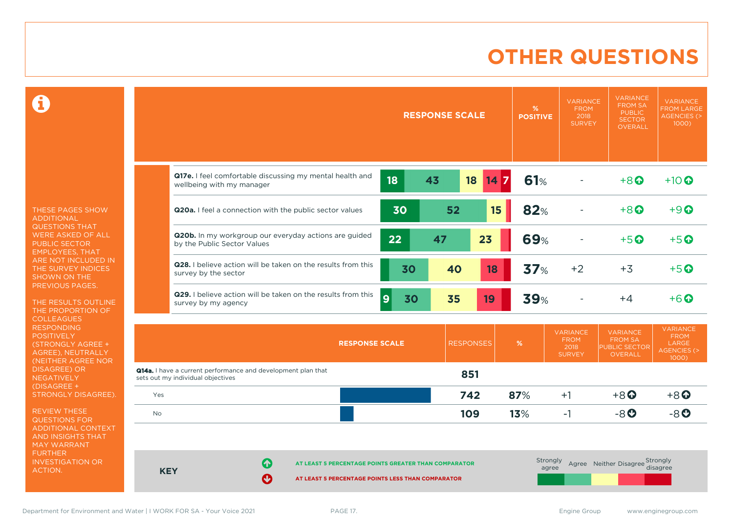# **OTHER QUESTIONS**

 $\mathbf \Omega$ 

THESE PAGES SHOW ADDITIONAL QUESTIONS THAT WERE ASKED OF ALL PUBLIC SECTOR EMPLOYEES, THAT ARE NOT INCLUDED IN THE SURVEY INDICES SHOWN ON THE PREVIOUS PAGES.

THE RESULTS OUTLINE THE PROPORTION OF COLLEAGUES RESPONDING **POSITIVELY** (STRONGLY AGREE + AGREE), NEUTRALLY (NEITHER AGREE NOR DISAGREE) OR NEGATIVELY (DISAGREE + STRONGLY DISAGREE).

REVIEW THESE QUESTIONS FOR ADDITIONAL CONTEXT AND INSIGHTS THAT MAY WARRANT FURTHER INVESTIGATION OR ACTION.

|            | <b>RESPONSE SCALE</b><br><b>POSITIVE</b>                                                                            |                 |                   | <b>VARIANCE</b><br><b>FROM</b><br>2018<br><b>SURVEY</b> | <b>VARIANCE</b><br><b>FROM SA</b><br><b>PUBLIC</b><br><b>SECTOR</b><br><b>OVERALL</b> | <b>VARIANCE</b><br><b>FROM LARGE</b><br><b>AGENCIES (&gt;</b><br>1000) |
|------------|---------------------------------------------------------------------------------------------------------------------|-----------------|-------------------|---------------------------------------------------------|---------------------------------------------------------------------------------------|------------------------------------------------------------------------|
|            | Q17e. I feel comfortable discussing my mental health and<br>18<br>43<br>18<br>wellbeing with my manager             | 14 <sub>7</sub> | 61%               |                                                         | $+8$ <sup><math>\odot</math></sup>                                                    | $+10$ <sup><math>\odot</math></sup>                                    |
|            | 30<br>52<br>Q20a. I feel a connection with the public sector values                                                 | 15              | 82%               |                                                         | $+8$ <sup><math>\odot</math></sup>                                                    | $+9$ $\Omega$                                                          |
|            | Q20b. In my workgroup our everyday actions are guided<br>22<br>47<br>by the Public Sector Values                    | 23              | <b>69%</b>        |                                                         | $+5$ <sup><math>\odot</math></sup>                                                    | $+5$ <sup><math>\odot</math></sup>                                     |
|            | Q28. I believe action will be taken on the results from this<br>30<br>40<br>survey by the sector                    | 18              | 37%               | $+2$                                                    | $+3$                                                                                  | $+5$ <sup>O</sup>                                                      |
|            | Q29. I believe action will be taken on the results from this<br>$\overline{9}$<br>30<br>35<br>survey by my agency   | 19              | <b>39%</b>        |                                                         | $+4$                                                                                  | $+6$ $\odot$                                                           |
|            | <b>RESPONSES</b><br><b>RESPONSE SCALE</b>                                                                           |                 | $\%$              | <b>VARIANCE</b><br><b>FROM</b><br>2018<br><b>SURVEY</b> | <b>VARIANCE</b><br><b>FROM SA</b><br><b>PUBLIC SECTOR</b><br><b>OVERALL</b>           | <b>VARIANCE</b><br><b>FROM</b><br><b>LARGE</b><br>AGENCIES (><br>1000) |
|            | Q14a. I have a current performance and development plan that<br>851<br>sets out my individual objectives            |                 |                   |                                                         |                                                                                       |                                                                        |
| Yes        | 742                                                                                                                 |                 | 87%               | $+1$                                                    | $+8$ <sup><math>\odot</math></sup>                                                    | $+8$ <sup><math>\odot</math></sup>                                     |
| No         | 109                                                                                                                 |                 | 13%               | $-1$                                                    | $-8$ $O$                                                                              | $-8o$                                                                  |
| <b>KEY</b> | Q<br>AT LEAST 5 PERCENTAGE POINTS GREATER THAN COMPARATOR<br>Ø<br>AT LEAST 5 PERCENTAGE POINTS LESS THAN COMPARATOR |                 | Strongly<br>agree |                                                         | Agree Neither Disagree Strongly                                                       | disagree                                                               |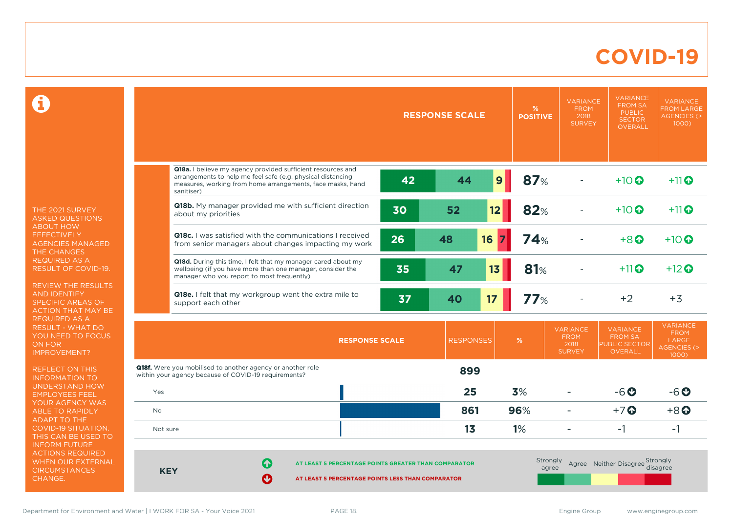### **COVID-19**

 $\mathbf \Omega$ 

THE 2021 SURVEY ASKED QUESTIONS ABOUT HOW **EFFECTIVELY** AGENCIES MANAGED THE CHANGES REQUIRED AS A RESULT OF COVID-19.

REVIEW THE RESULTS AND IDENTIFY SPECIFIC AREAS OF ACTION THAT MAY BE REQUIRED AS A RESULT - WHAT DO YOU NEED TO FOCUS ON FOR IMPROVEMENT?

REFLECT ON THIS INFORMATION TO UNDERSTAND HOW EMPLOYEES FEEL YOUR AGENCY WAS ABLE TO RAPIDLY ADAPT TO THE COVID-19 SITUATION. THIS CAN BE USED TO INFORM FUTURE ACTIONS REQUIRED WHEN OUR EXTERNAL **CIRCUMSTANCES** CHANGE.

|           |                                                                                                                                                                                                        | <b>RESPONSE SCALE</b> |                  |    | $\%$<br><b>POSITIVE</b> | <b>VARIANCE</b><br><b>FROM</b><br>2018<br><b>SURVEY</b> | <b>VARIANCE</b><br><b>FROM SA</b><br><b>PUBLIC</b><br><b>SECTOR</b><br><b>OVERALL</b> | <b>VARIANCE</b><br><b>FROM LARGE</b><br><b>AGENCIES (&gt;</b><br>1000        |
|-----------|--------------------------------------------------------------------------------------------------------------------------------------------------------------------------------------------------------|-----------------------|------------------|----|-------------------------|---------------------------------------------------------|---------------------------------------------------------------------------------------|------------------------------------------------------------------------------|
|           |                                                                                                                                                                                                        |                       |                  |    |                         |                                                         |                                                                                       |                                                                              |
|           | Q18a. I believe my agency provided sufficient resources and<br>arrangements to help me feel safe (e.g. physical distancing<br>measures, working from home arrangements, face masks, hand<br>sanitiser) | 42                    | 44               | 9  | 87%                     |                                                         | $+10$ <sup>O</sup>                                                                    | $+11$                                                                        |
|           | Q18b. My manager provided me with sufficient direction<br>about my priorities                                                                                                                          | 30                    | 52               | 12 | 82%                     |                                                         | $+10$ $\odot$                                                                         | $+11$                                                                        |
|           | <b>Q18c.</b> I was satisfied with the communications I received<br>from senior managers about changes impacting my work                                                                                | 26                    | 48               | 16 | 74%                     |                                                         | $+8$ <sup><math>\odot</math></sup>                                                    | $+10$ $\odot$                                                                |
|           | Q18d. During this time, I felt that my manager cared about my<br>wellbeing (if you have more than one manager, consider the<br>manager who you report to most frequently)                              | 35                    | 47               | 13 | 81%                     |                                                         | $+11$ <sup>O</sup>                                                                    | $+12$ <sup><math>\odot</math></sup>                                          |
|           | Q18e. I felt that my workgroup went the extra mile to<br>support each other                                                                                                                            | 37                    | 40               | 17 | 77%                     |                                                         | $+2$                                                                                  | $+3$                                                                         |
|           | <b>RESPONSE SCALE</b>                                                                                                                                                                                  |                       | <b>RESPONSES</b> |    | %                       | <b>VARIANCE</b><br><b>FROM</b><br>2018<br><b>SURVEY</b> | <b>VARIANCE</b><br><b>FROM SA</b><br><b>PUBLIC SECTOR</b><br><b>OVERALL</b>           | <b>VARIANCE</b><br><b>FROM</b><br>LARGE<br><b>AGENCIES (&gt;</b><br>$1000$ ) |
|           | <b>Q18f.</b> Were you mobilised to another agency or another role<br>within your agency because of COVID-19 requirements?                                                                              |                       | 899              |    |                         |                                                         |                                                                                       |                                                                              |
| Yes       |                                                                                                                                                                                                        |                       | 25               |    | 3%                      |                                                         | $-6o$                                                                                 | $-6o$                                                                        |
| <b>No</b> |                                                                                                                                                                                                        |                       | 861              |    | 96%                     | $\overline{\phantom{0}}$                                | $+7$ $\odot$                                                                          | $+8$ <sup><math>\odot</math></sup>                                           |
| Not sure  |                                                                                                                                                                                                        |                       | 1 <sub>3</sub>   |    | 1%                      | $\overline{a}$                                          | $-1$                                                                                  | $-1$                                                                         |
|           | Œ<br>AT LEAST 5 PERCENTAGE POINTS GREATER THAN COMPARATOR<br><b>KEY</b><br>Ø<br>AT LEAST 5 PERCENTAGE POINTS LESS THAN COMPARATOR                                                                      |                       |                  |    |                         | Strongly<br>agree                                       | Agree Neither Disagree Strongly                                                       | disagree                                                                     |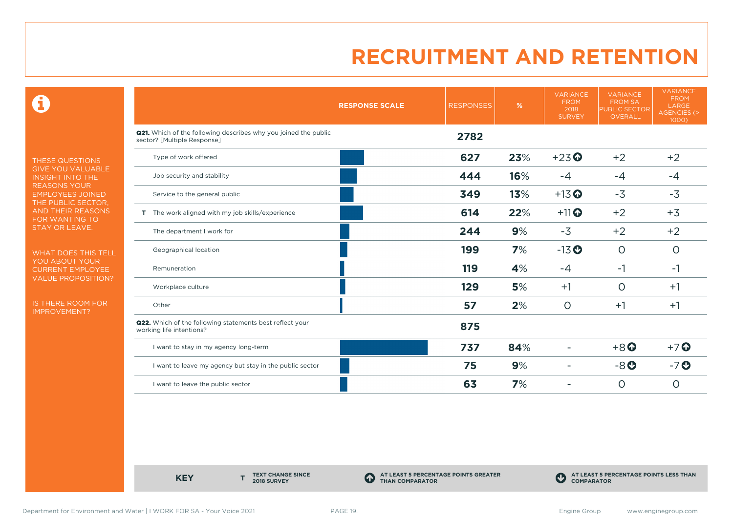0

THESE QUESTIONS GIVE YOU VALUABLE INSIGHT INTO THE REASONS YOUR EMPLOYEES JOINED THE PUBLIC SECTOR, AND THEIR REASONS FOR WANTING TO STAY OR LEAVE.

WHAT DOES THIS TELL YOU ABOUT YOUR CURRENT EMPLOYEE VALUE PROPOSITION?

IS THERE ROOM FOR IMPROVEMENT?

|                                                                                                       | <b>RESPONSE SCALE</b> | <b>RESPONSES</b> | %   | <b>VARIANCE</b><br><b>FROM</b><br>2018<br><b>SURVEY</b> | <b>VARIANCE</b><br><b>FROM SA</b><br><b>PUBLIC SECTOR</b><br>OVERALL | <b>VARIANCE</b><br><b>FROM</b><br>LARGE<br><b>AGENCIES (&gt;</b><br>$1000$ ) |
|-------------------------------------------------------------------------------------------------------|-----------------------|------------------|-----|---------------------------------------------------------|----------------------------------------------------------------------|------------------------------------------------------------------------------|
| <b>Q21.</b> Which of the following describes why you joined the public<br>sector? [Multiple Response] |                       | 2782             |     |                                                         |                                                                      |                                                                              |
| Type of work offered                                                                                  |                       | 627              | 23% | $+23$ <sup>O</sup>                                      | $+2$                                                                 | $+2$                                                                         |
| Job security and stability                                                                            |                       | 444              | 16% | $-4$                                                    | $-4$                                                                 | $-4$                                                                         |
| Service to the general public                                                                         |                       | 349              | 13% | $+13$ <sup>O</sup>                                      | $-3$                                                                 | $-3$                                                                         |
| T The work aligned with my job skills/experience                                                      |                       | 614              | 22% | $+11$ <sup>O</sup>                                      | $+2$                                                                 | $+3$                                                                         |
| The department I work for                                                                             |                       | 244              | 9%  | $-3$                                                    | $+2$                                                                 | $+2$                                                                         |
| Geographical location                                                                                 |                       | 199              | 7%  | $-13$ <sup>O</sup>                                      | $\circ$                                                              | $\circ$                                                                      |
| Remuneration                                                                                          |                       | 119              | 4%  | $-4$                                                    | $-1$                                                                 | $-1$                                                                         |
| Workplace culture                                                                                     |                       | 129              | 5%  | $+1$                                                    | $\circ$                                                              | $+1$                                                                         |
| Other                                                                                                 |                       | 57               | 2%  | $\circ$                                                 | $+1$                                                                 | $+1$                                                                         |
| Q22. Which of the following statements best reflect your<br>working life intentions?                  |                       | 875              |     |                                                         |                                                                      |                                                                              |
| I want to stay in my agency long-term                                                                 |                       | 737              | 84% |                                                         | $+8$ <sup>O</sup>                                                    | $+7$ <sup>O</sup>                                                            |
| I want to leave my agency but stay in the public sector                                               |                       | 75               | 9%  |                                                         | $-8o$                                                                | $-7o$                                                                        |
| I want to leave the public sector                                                                     |                       | 63               | 7%  |                                                         | $\circ$                                                              | $\circ$                                                                      |

**KEY** 

**TEXT CHANGE SINCE 2018 SURVEY**

**AT LEAST 5 PERCENTAGE POINTS GREATER THAN COMPARATOR**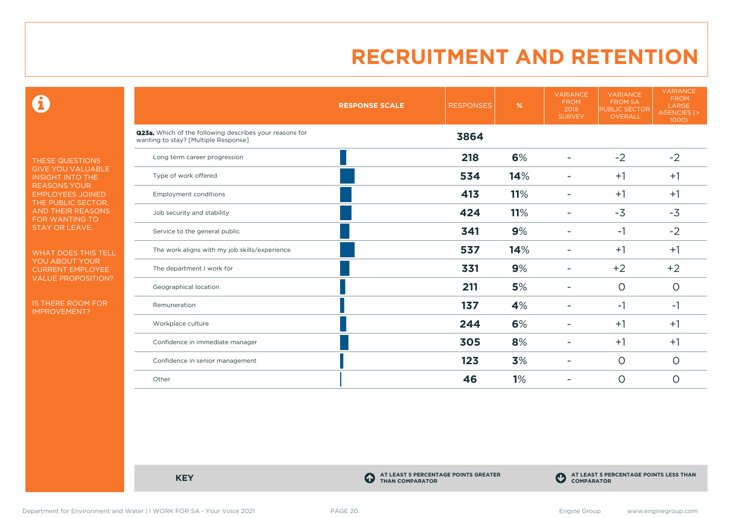$\mathbf \Theta$ 

THESE QUESTIONS GIVE YOU VALUABLE INSIGHT INTO THE REASONS YOUR EMPLOYEES JOINED THE PUBLIC SECTOR, AND THEIR REASONS FOR WANTING TO STAY OR LEAVE.

WHAT DOES THIS TELL YOU ABOUT YOUR CURRENT EMPLOYEE VALUE PROPOSITION?

IS THERE ROOM FOR IMPROVEMENT?

|                                                                                                 | <b>RESPONSE SCALE</b> | <b>RESPONSES</b> | %   | <b>VARIANCE</b><br><b>FROM</b><br>2018<br><b>SURVEY</b> | <b>VARIANCE</b><br><b>FROM SA</b><br><b>PUBLIC SECTOR</b><br><b>OVERALL</b> | <b>VARIANCE</b><br><b>FROM</b><br>LARGE<br>AGENCIES (><br>1000) |
|-------------------------------------------------------------------------------------------------|-----------------------|------------------|-----|---------------------------------------------------------|-----------------------------------------------------------------------------|-----------------------------------------------------------------|
| Q23a. Which of the following describes your reasons for<br>wanting to stay? [Multiple Response] |                       | 3864             |     |                                                         |                                                                             |                                                                 |
| Long term career progression                                                                    |                       | 218              | 6%  |                                                         | $-2$                                                                        | $-2$                                                            |
| Type of work offered                                                                            |                       | 534              | 14% |                                                         | $+1$                                                                        | $+1$                                                            |
| <b>Employment conditions</b>                                                                    |                       | 413              | 11% | ۰                                                       | $+1$                                                                        | $+1$                                                            |
| Job security and stability                                                                      |                       | 424              | 11% |                                                         | $-3$                                                                        | $-3$                                                            |
| Service to the general public                                                                   |                       | 341              | 9%  |                                                         | $-1$                                                                        | $-2$                                                            |
| The work aligns with my job skills/experience                                                   |                       | 537              | 14% |                                                         | $+1$                                                                        | $+1$                                                            |
| The department I work for                                                                       |                       | 331              | 9%  |                                                         | $+2$                                                                        | $+2$                                                            |
| Geographical location                                                                           |                       | 211              | 5%  |                                                         | $\circ$                                                                     | $\circ$                                                         |
| Remuneration                                                                                    |                       | 137              | 4%  |                                                         | $-1$                                                                        | $-1$                                                            |
| Workplace culture                                                                               |                       | 244              | 6%  | -                                                       | $+1$                                                                        | $+1$                                                            |
| Confidence in immediate manager                                                                 |                       | 305              | 8%  |                                                         | $+1$                                                                        | $+1$                                                            |
| Confidence in senior management                                                                 |                       | 123              | 3%  |                                                         | $\circ$                                                                     | $\circ$                                                         |
| Other                                                                                           |                       | 46               | 1%  |                                                         | $\circ$                                                                     | $\circ$                                                         |

**KEY C** 

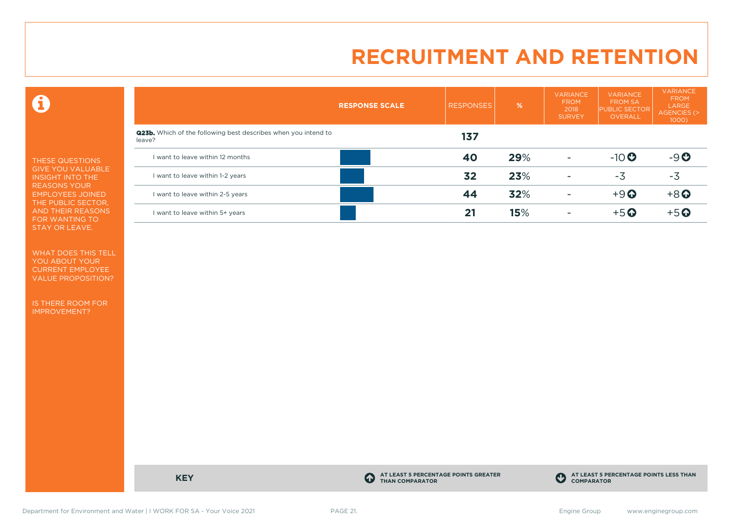$\mathbf \Theta$ 

THESE QUESTIONS GIVE YOU VALUABLE INSIGHT INTO THE REASONS YOUR EMPLOYEES JOINED THE PUBLIC SECTOR, AND THEIR REASONS FOR WANTING TO STAY OR LEAVE.

WHAT DOES THIS TELL YOU ABOUT YOUR CURRENT EMPLOYEE VALUE PROPOSITION?

IS THERE ROOM FOR IMPROVEMENT?

|                                                                                 | <b>RESPONSE SCALE</b> | <b>RESPONSES</b> | $\frac{9}{6}$ | <b>VARIANCE</b><br><b>FROM</b><br>2018<br><b>SURVEY</b> | <b>VARIANCE</b><br><b>FROM SA</b><br><b>PUBLIC SECTOR</b><br>OVERALL | <b>VARIANCE</b><br><b>FROM</b><br><b>LARGE</b><br>AGENCIES (><br>1000) |
|---------------------------------------------------------------------------------|-----------------------|------------------|---------------|---------------------------------------------------------|----------------------------------------------------------------------|------------------------------------------------------------------------|
| <b>Q23b.</b> Which of the following best describes when you intend to<br>leave? |                       | 137              |               |                                                         |                                                                      |                                                                        |
| I want to leave within 12 months                                                |                       | 40               | 29%           | $\overline{\phantom{0}}$                                | $-10$                                                                | $-9O$                                                                  |
| I want to leave within 1-2 years                                                |                       | 32               | 23%           | ۰                                                       | $-3$                                                                 | $-3$                                                                   |
| I want to leave within 2-5 years                                                |                       | 44               | 32%           | $\overline{\phantom{a}}$                                | $+9$ <sup><math>\odot</math></sup>                                   | $+8$ <sup>O</sup>                                                      |
| I want to leave within 5+ years                                                 |                       | 21               | 15%           |                                                         | $+5$ <sup>O</sup>                                                    | $+5$ $\odot$                                                           |

**KEY C** 

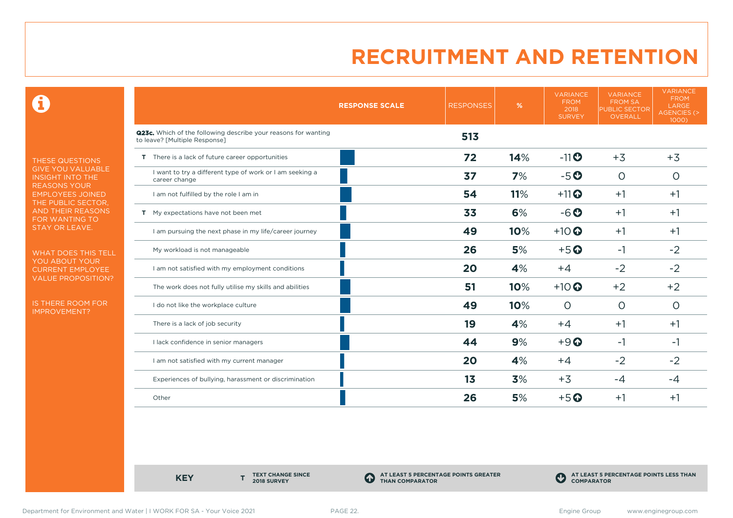0

THESE QUESTIONS GIVE YOU VALUABLE INSIGHT INTO THE REASONS YOUR EMPLOYEES JOINED THE PUBLIC SECTOR, AND THEIR REASONS FOR WANTING TO STAY OR LEAVE.

WHAT DOES THIS TELL YOU ABOUT YOUR CURRENT EMPLOYEE VALUE PROPOSITION?

IS THERE ROOM FOR IMPROVEMENT?

|                                                                                                 | <b>RESPONSE SCALE</b> | <b>RESPONSES</b> | %   | <b>VARIANCE</b><br><b>FROM</b><br>2018<br><b>SURVEY</b> | <b>VARIANCE</b><br><b>FROM SA</b><br><b>PUBLIC SECTOR</b><br><b>OVERALL</b> | <b>VARIANCE</b><br><b>FROM</b><br>LARGE<br>AGENCIES (><br>1000) |
|-------------------------------------------------------------------------------------------------|-----------------------|------------------|-----|---------------------------------------------------------|-----------------------------------------------------------------------------|-----------------------------------------------------------------|
| Q23c. Which of the following describe your reasons for wanting<br>to leave? [Multiple Response] |                       | 513              |     |                                                         |                                                                             |                                                                 |
| T There is a lack of future career opportunities                                                |                       | 72               | 14% | $-11$                                                   | $+3$                                                                        | $+3$                                                            |
| I want to try a different type of work or I am seeking a<br>career change                       |                       | 37               | 7%  | $-5o$                                                   | $\circ$                                                                     | O                                                               |
| I am not fulfilled by the role I am in                                                          |                       | 54               | 11% | $+11$ <sup>O</sup>                                      | $+1$                                                                        | $+1$                                                            |
| T My expectations have not been met                                                             |                       | 33               | 6%  | $-6o$                                                   | $+1$                                                                        | $+1$                                                            |
| I am pursuing the next phase in my life/career journey                                          |                       | 49               | 10% | $+10$ <sup>O</sup>                                      | $+1$                                                                        | $+1$                                                            |
| My workload is not manageable                                                                   |                       | 26               | 5%  | $+5$ <sup>O</sup>                                       | $-1$                                                                        | $-2$                                                            |
| I am not satisfied with my employment conditions                                                |                       | 20               | 4%  | $+4$                                                    | $-2$                                                                        | $-2$                                                            |
| The work does not fully utilise my skills and abilities                                         |                       | 51               | 10% | $+10$ <sup>O</sup>                                      | $+2$                                                                        | $+2$                                                            |
| I do not like the workplace culture                                                             |                       | 49               | 10% | $\Omega$                                                | $\Omega$                                                                    | O                                                               |
| There is a lack of job security                                                                 |                       | 19               | 4%  | $+4$                                                    | $+1$                                                                        | $+1$                                                            |
| I lack confidence in senior managers                                                            |                       | 44               | 9%  | $+9$ <sup><math>\odot</math></sup>                      | $-1$                                                                        | -1                                                              |
| I am not satisfied with my current manager                                                      |                       | 20               | 4%  | $+4$                                                    | $-2$                                                                        | $-2$                                                            |
| Experiences of bullying, harassment or discrimination                                           |                       | 1 <sub>3</sub>   | 3%  | $+3$                                                    | $-4$                                                                        | $-4$                                                            |
| Other                                                                                           |                       | 26               | 5%  | $+5$ <sup>O</sup>                                       | $+1$                                                                        | $+1$                                                            |

**KEY** 

**TEXT CHANGE SINCE 2018 SURVEY**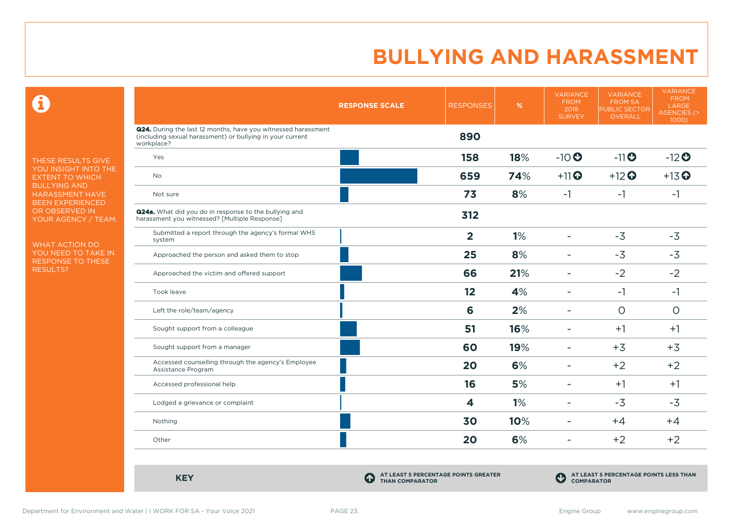$\mathbf \Omega$ 

THESE RESULTS GIVE YOU INSIGHT INTO THE EXTENT TO WHICH BULLYING AND HARASSMENT HAVE BEEN EXPERIENCED OR OBSERVED IN YOUR AGENCY / TEAM.

WHAT ACTION DO YOU NEED TO TAKE IN RESPONSE TO THESE RESULTS?

|                                                                                                                                                 | <b>RESPONSE SCALE</b> | <b>RESPONSES</b> | %   | <b>VARIANCE</b><br><b>FROM</b><br>2018<br><b>SURVEY</b> | <b>VARIANCE</b><br><b>FROM SA</b><br><b>PUBLIC SECTOR</b><br>OVERALL | <b>VARIANCE</b><br><b>FROM</b><br>LARGE<br><b>AGENCIES (&gt;</b><br>1000) |
|-------------------------------------------------------------------------------------------------------------------------------------------------|-----------------------|------------------|-----|---------------------------------------------------------|----------------------------------------------------------------------|---------------------------------------------------------------------------|
| <b>Q24.</b> During the last 12 months, have you witnessed harassment<br>(including sexual harassment) or bullying in your current<br>workplace? |                       | 890              |     |                                                         |                                                                      |                                                                           |
| Yes                                                                                                                                             |                       | 158              | 18% | $-10$                                                   | $-11$ <sup>O</sup>                                                   | $-12$ <sup>O</sup>                                                        |
| <b>No</b>                                                                                                                                       |                       | 659              | 74% | $+11$ <sup>O</sup>                                      | $+12$ <sup>O</sup>                                                   | $+13$ <sup>O</sup>                                                        |
| Not sure                                                                                                                                        |                       | 73               | 8%  | $-1$                                                    | $-1$                                                                 | $-1$                                                                      |
| <b>Q24a.</b> What did you do in response to the bullying and<br>harassment you witnessed? [Multiple Response]                                   |                       | 312              |     |                                                         |                                                                      |                                                                           |
| Submitted a report through the agency's formal WHS<br>system                                                                                    |                       | $\overline{2}$   | 1%  | $\overline{\phantom{a}}$                                | $-3$                                                                 | $-3$                                                                      |
| Approached the person and asked them to stop                                                                                                    |                       | 25               | 8%  | ۰                                                       | $-3$                                                                 | $-3$                                                                      |
| Approached the victim and offered support                                                                                                       |                       | 66               | 21% | ÷                                                       | $-2$                                                                 | $-2$                                                                      |
| Took leave                                                                                                                                      |                       | 12               | 4%  | $\overline{\phantom{0}}$                                | $-1$                                                                 | $-1$                                                                      |
| Left the role/team/agency                                                                                                                       |                       | 6                | 2%  |                                                         | $\circ$                                                              | $\circ$                                                                   |
| Sought support from a colleague                                                                                                                 |                       | 51               | 16% | ÷                                                       | $+1$                                                                 | $+1$                                                                      |
| Sought support from a manager                                                                                                                   |                       | 60               | 19% | ۰                                                       | $+3$                                                                 | $+3$                                                                      |
| Accessed counselling through the agency's Employee<br>Assistance Program                                                                        |                       | 20               | 6%  | Ξ.                                                      | $+2$                                                                 | $+2$                                                                      |
| Accessed professional help                                                                                                                      |                       | 16               | 5%  | ۰                                                       | $+1$                                                                 | $+1$                                                                      |
| Lodged a grievance or complaint                                                                                                                 |                       | 4                | 1%  | ۰                                                       | $-3$                                                                 | $-3$                                                                      |
| Nothing                                                                                                                                         |                       | 30               | 10% | ۳                                                       | $+4$                                                                 | $+4$                                                                      |
| Other                                                                                                                                           |                       | 20               | 6%  | Ξ.                                                      | $+2$                                                                 | $+2$                                                                      |

**KEY C**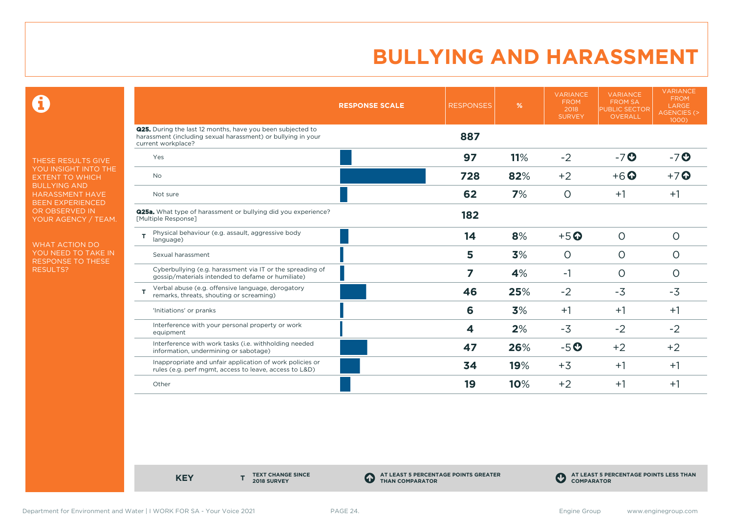$\mathbf \Theta$ 

THESE RESULTS GIVE YOU INSIGHT INTO THE EXTENT TO WHICH BULLYING AND HARASSMENT HAVE BEEN EXPERIENCED OR OBSERVED IN YOUR AGENCY / TEAM.

WHAT ACTION DO YOU NEED TO TAKE IN RESPONSE TO THESE RESULTS?

|                                                                                                                                                         | <b>RESPONSE SCALE</b> | <b>RESPONSES</b> | %   | <b>VARIANCE</b><br><b>FROM</b><br>2018<br><b>SURVEY</b> | <b>VARIANCE</b><br><b>FROM SA</b><br><b>PUBLIC SECTOR</b><br><b>OVERALL</b> | <b>VARIANCE</b><br><b>FROM</b><br>LARGE<br>AGENCIES (><br>1000) |
|---------------------------------------------------------------------------------------------------------------------------------------------------------|-----------------------|------------------|-----|---------------------------------------------------------|-----------------------------------------------------------------------------|-----------------------------------------------------------------|
| <b>Q25.</b> During the last 12 months, have you been subjected to<br>harassment (including sexual harassment) or bullying in your<br>current workplace? |                       | 887              |     |                                                         |                                                                             |                                                                 |
| Yes                                                                                                                                                     |                       | 97               | 11% | $-2$                                                    | $-7o$                                                                       | $-7o$                                                           |
| <b>No</b>                                                                                                                                               |                       | 728              | 82% | $+2$                                                    | $+6$ <sup>O</sup>                                                           | $+7$ $\odot$                                                    |
| Not sure                                                                                                                                                |                       | 62               | 7%  | $\circ$                                                 | $+1$                                                                        | $+1$                                                            |
| <b>Q25a.</b> What type of harassment or bullying did you experience?<br>[Multiple Response]                                                             |                       | 182              |     |                                                         |                                                                             |                                                                 |
| Physical behaviour (e.g. assault, aggressive body<br>T<br>language)                                                                                     |                       | 14               | 8%  | $+5$ <sup>O</sup>                                       | $\circ$                                                                     | $\circ$                                                         |
| Sexual harassment                                                                                                                                       |                       | 5                | 3%  | $\circ$                                                 | $\circ$                                                                     | O                                                               |
| Cyberbullying (e.g. harassment via IT or the spreading of<br>gossip/materials intended to defame or humiliate)                                          |                       | 7                | 4%  | $-1$                                                    | $\circ$                                                                     | O                                                               |
| Verbal abuse (e.g. offensive language, derogatory<br>remarks, threats, shouting or screaming)                                                           |                       | 46               | 25% | $-2$                                                    | $-3$                                                                        | $-3$                                                            |
| 'Initiations' or pranks                                                                                                                                 |                       | 6                | 3%  | $+1$                                                    | $+1$                                                                        | $+1$                                                            |
| Interference with your personal property or work<br>equipment                                                                                           |                       | 4                | 2%  | $-3$                                                    | $-2$                                                                        | $-2$                                                            |
| Interference with work tasks (i.e. withholding needed<br>information, undermining or sabotage)                                                          |                       | 47               | 26% | $-5o$                                                   | $+2$                                                                        | $+2$                                                            |
| Inappropriate and unfair application of work policies or<br>rules (e.g. perf mgmt, access to leave, access to L&D)                                      |                       | 34               | 19% | $+3$                                                    | $+1$                                                                        | $+1$                                                            |
| Other                                                                                                                                                   |                       | 19               | 10% | $+2$                                                    | $+1$                                                                        | $+1$                                                            |

**KEY** 

**TEXT CHANGE SINCE 2018 SURVEY**

**AT LEAST 5 PERCENTAGE POINTS GREATER THAN COMPARATOR**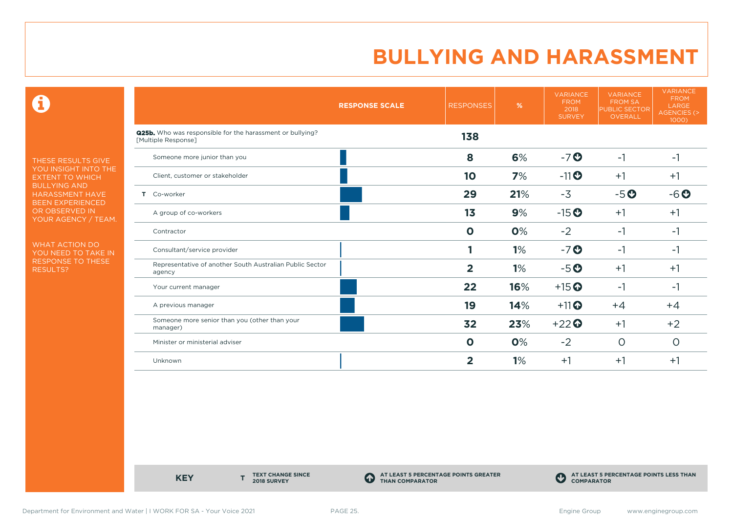$\mathbf \Theta$ 

THESE RESULTS GIVE YOU INSIGHT INTO THE EXTENT TO WHICH BULLYING AND HARASSMENT HAVE BEEN EXPERIENCED OR OBSERVED IN YOUR AGENCY / TEAM.

WHAT ACTION DO YOU NEED TO TAKE IN RESPONSE TO THESE RESULTS?

|                                                                                         | <b>RESPONSE SCALE</b> | <b>RESPONSES</b> | %   | <b>VARIANCE</b><br><b>FROM</b><br>2018<br><b>SURVEY</b> | <b>VARIANCE</b><br><b>FROM SA</b><br><b>PUBLIC SECTOR</b><br><b>OVERALL</b> | <b>VARIANCE</b><br><b>FROM</b><br>LARGE<br><b>AGENCIES (&gt;</b><br>1000) |
|-----------------------------------------------------------------------------------------|-----------------------|------------------|-----|---------------------------------------------------------|-----------------------------------------------------------------------------|---------------------------------------------------------------------------|
| <b>Q25b.</b> Who was responsible for the harassment or bullying?<br>[Multiple Response] |                       | 138              |     |                                                         |                                                                             |                                                                           |
| Someone more junior than you                                                            |                       | 8                | 6%  | $-7o$                                                   | $-1$                                                                        | $-1$                                                                      |
| Client, customer or stakeholder                                                         |                       | 10               | 7%  | $-11$ <sup>O</sup>                                      | $+1$                                                                        | $+1$                                                                      |
| Co-worker<br>т.                                                                         |                       | 29               | 21% | $-3$                                                    | $-5o$                                                                       | $-6o$                                                                     |
| A group of co-workers                                                                   |                       | 13               | 9%  | $-15$ <sup>O</sup>                                      | $+1$                                                                        | $+1$                                                                      |
| Contractor                                                                              |                       | $\mathbf 0$      | 0%  | $-2$                                                    | $-1$                                                                        | -1                                                                        |
| Consultant/service provider                                                             |                       |                  | 1%  | $-7o$                                                   | $-1$                                                                        | -1                                                                        |
| Representative of another South Australian Public Sector<br>agency                      |                       | $\overline{2}$   | 1%  | $-5o$                                                   | $+1$                                                                        | $+1$                                                                      |
| Your current manager                                                                    |                       | 22               | 16% | $+15$ <sup>O</sup>                                      | $-1$                                                                        | -1                                                                        |
| A previous manager                                                                      |                       | 19               | 14% | $+11$ <sup>O</sup>                                      | $+4$                                                                        | $+4$                                                                      |
| Someone more senior than you (other than your<br>manager)                               |                       | 32               | 23% | $+22$                                                   | $+1$                                                                        | $+2$                                                                      |
| Minister or ministerial adviser                                                         |                       | $\mathbf 0$      | 0%  | $-2$                                                    | $\circ$                                                                     | $\circ$                                                                   |
| Unknown                                                                                 |                       | 2                | 1%  | $+1$                                                    | $+1$                                                                        | $+1$                                                                      |

**KEY** 

**TEXT CHANGE SINCE 2018 SURVEY**

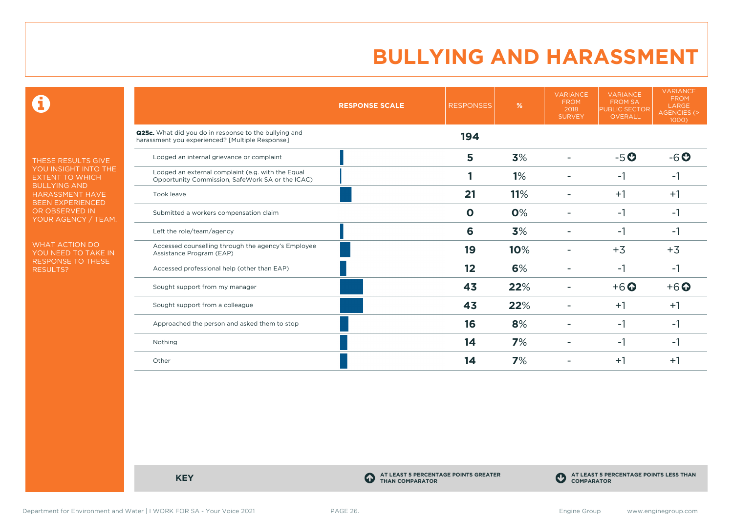$\mathbf \Theta$ 

THESE RESULTS GIVE YOU INSIGHT INTO THE EXTENT TO WHICH BULLYING AND HARASSMENT HAVE BEEN EXPERIENCED OR OBSERVED IN YOUR AGENCY / TEAM.

WHAT ACTION DO YOU NEED TO TAKE IN RESPONSE TO THESE RESULTS?

|                                                                                                          | <b>RESPONSE SCALE</b> | <b>RESPONSES</b> | %   | <b>VARIANCE</b><br><b>FROM</b><br>2018<br><b>SURVEY</b> | <b>VARIANCE</b><br><b>FROM SA</b><br><b>PUBLIC SECTOR</b><br><b>OVERALL</b> | <b>VARIANCE</b><br><b>FROM</b><br><b>LARGE</b><br><b>AGENCIES (&gt;</b><br>$1000$ ) |
|----------------------------------------------------------------------------------------------------------|-----------------------|------------------|-----|---------------------------------------------------------|-----------------------------------------------------------------------------|-------------------------------------------------------------------------------------|
| Q25c. What did you do in response to the bullying and<br>harassment you experienced? [Multiple Response] |                       | 194              |     |                                                         |                                                                             |                                                                                     |
| Lodged an internal grievance or complaint                                                                |                       | 5                | 3%  |                                                         | $-5o$                                                                       | $-6o$                                                                               |
| Lodged an external complaint (e.g. with the Equal<br>Opportunity Commission, SafeWork SA or the ICAC)    |                       |                  | 1%  |                                                         | $-1$                                                                        | -1                                                                                  |
| Took leave                                                                                               |                       | 21               | 11% |                                                         | $+1$                                                                        | $+1$                                                                                |
| Submitted a workers compensation claim                                                                   |                       | $\mathbf 0$      | 0%  |                                                         | $-1$                                                                        | -1                                                                                  |
| Left the role/team/agency                                                                                |                       | 6                | 3%  |                                                         | $-1$                                                                        | -1                                                                                  |
| Accessed counselling through the agency's Employee<br>Assistance Program (EAP)                           |                       | 19               | 10% |                                                         | $+3$                                                                        | $+3$                                                                                |
| Accessed professional help (other than EAP)                                                              |                       | 12               | 6%  |                                                         | $-1$                                                                        | -1                                                                                  |
| Sought support from my manager                                                                           |                       | 43               | 22% |                                                         | $+6$ $\odot$                                                                | $+6$ $\odot$                                                                        |
| Sought support from a colleague                                                                          |                       | 43               | 22% |                                                         | $+1$                                                                        | $+1$                                                                                |
| Approached the person and asked them to stop                                                             |                       | 16               | 8%  |                                                         | $-1$                                                                        | -1                                                                                  |
| Nothing                                                                                                  |                       | 14               | 7%  |                                                         | $-1$                                                                        | -1                                                                                  |
| Other                                                                                                    |                       | 14               | 7%  |                                                         | $+1$                                                                        | $+1$                                                                                |

**KEY C** 

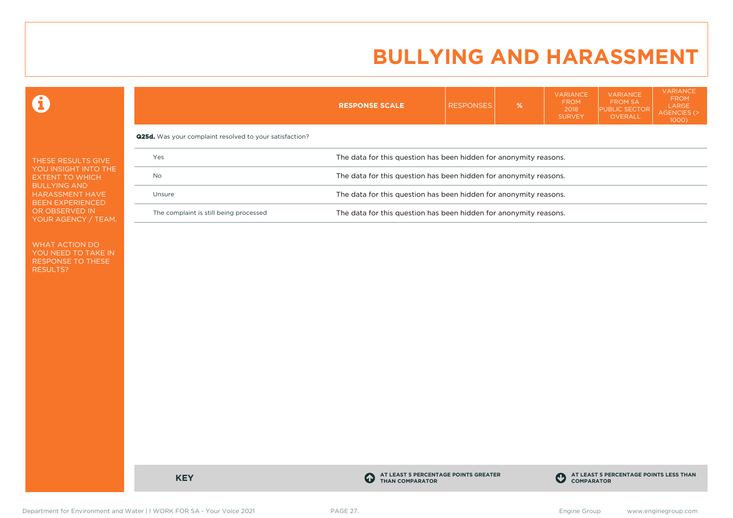VARIANCE

VARIANCE

**VARIANCE** 

 $\mathbf \Omega$ 

|                                                                          | <b>RESPONSE SCALE</b>                                             | <b>RESPONSES</b> | % | . <del>.</del><br><b>FROM</b><br>2018<br><b>SURVEY</b> | ,, ,, ,,, ,, , , , ,<br><b>FROM SA</b><br><b>PUBLIC SECTOR</b><br>OVERALL | <b>FROM</b><br><b>LARGE</b><br>AGENCIES (><br>$1000$ ) |  |  |
|--------------------------------------------------------------------------|-------------------------------------------------------------------|------------------|---|--------------------------------------------------------|---------------------------------------------------------------------------|--------------------------------------------------------|--|--|
| <b>Q25d.</b> Was your complaint resolved to your satisfaction?           |                                                                   |                  |   |                                                        |                                                                           |                                                        |  |  |
| The data for this question has been hidden for anonymity reasons.<br>Yes |                                                                   |                  |   |                                                        |                                                                           |                                                        |  |  |
| No                                                                       | The data for this question has been hidden for anonymity reasons. |                  |   |                                                        |                                                                           |                                                        |  |  |
| Unsure                                                                   | The data for this question has been hidden for anonymity reasons. |                  |   |                                                        |                                                                           |                                                        |  |  |
| The complaint is still being processed                                   | The data for this question has been hidden for anonymity reasons. |                  |   |                                                        |                                                                           |                                                        |  |  |
|                                                                          |                                                                   |                  |   |                                                        |                                                                           |                                                        |  |  |

WHAT ACTION DO YOU NEED TO TAKE IN RESPONSE TO THESE RESULTS?

**KEY C** 

**AT LEAST 5 PERCENTAGE POINTS GREATER THAN COMPARATOR**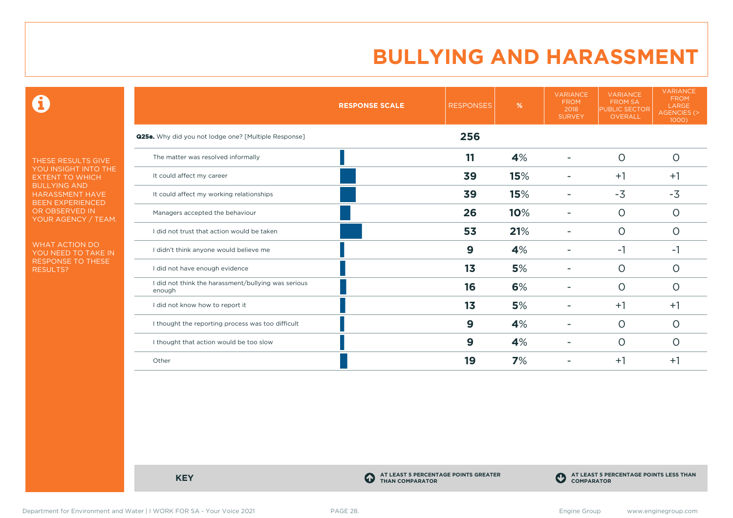$\mathbf \Theta$ 

THESE RESULTS GIVE YOU INSIGHT INTO THE EXTENT TO WHICH BULLYING AND HARASSMENT HAVE BEEN EXPERIENCED OR OBSERVED IN YOUR AGENCY / TEAM.

WHAT ACTION DO YOU NEED TO TAKE IN RESPONSE TO THESE RESULTS?

|                                                               | <b>RESPONSE SCALE</b> | <b>RESPONSES</b> | %   | <b>VARIANCE</b><br><b>FROM</b><br>2018<br><b>SURVEY</b> | <b>VARIANCE</b><br><b>FROM SA</b><br><b>PUBLIC SECTOR</b><br>OVERALL | <b>VARIANCE</b><br><b>FROM</b><br>LARGE<br>AGENCIES (><br>1000) |
|---------------------------------------------------------------|-----------------------|------------------|-----|---------------------------------------------------------|----------------------------------------------------------------------|-----------------------------------------------------------------|
| <b>Q25e.</b> Why did you not lodge one? [Multiple Response]   |                       | 256              |     |                                                         |                                                                      |                                                                 |
| The matter was resolved informally                            |                       | 11               | 4%  |                                                         | $\Omega$                                                             | $\circ$                                                         |
| It could affect my career                                     |                       | 39               | 15% |                                                         | $+1$                                                                 | $+1$                                                            |
| It could affect my working relationships                      |                       | 39               | 15% |                                                         | $-3$                                                                 | $-3$                                                            |
| Managers accepted the behaviour                               |                       | 26               | 10% |                                                         | $\circ$                                                              | 0                                                               |
| I did not trust that action would be taken                    |                       | 53               | 21% |                                                         | $\circ$                                                              | 0                                                               |
| I didn't think anyone would believe me                        |                       | 9                | 4%  |                                                         | $-1$                                                                 | -1                                                              |
| I did not have enough evidence                                |                       | 1 <sub>3</sub>   | 5%  |                                                         | $\circ$                                                              | O                                                               |
| I did not think the harassment/bullying was serious<br>enough |                       | 16               | 6%  |                                                         | $\Omega$                                                             | O                                                               |
| I did not know how to report it                               |                       | 13               | 5%  |                                                         | $+1$                                                                 | $+1$                                                            |
| I thought the reporting process was too difficult             |                       | 9                | 4%  | ۰                                                       | $\circ$                                                              | O                                                               |
| I thought that action would be too slow                       |                       | 9                | 4%  |                                                         | $\circ$                                                              | 0                                                               |
| Other                                                         |                       | 19               | 7%  |                                                         | $+1$                                                                 | $+1$                                                            |

**KEY C** 

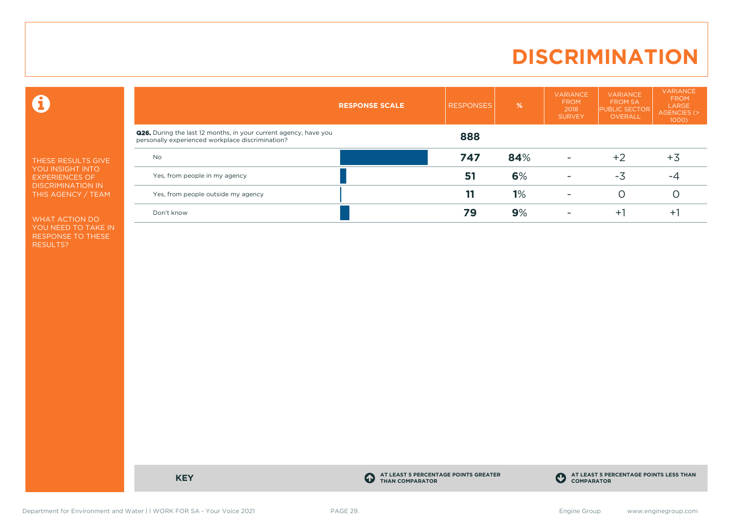# **DISCRIMINATION**

 $\mathbf \Theta$ 

THESE RESULTS GIVE YOU INSIGHT INTO EXPERIENCES OF DISCRIMINATION IN THIS AGENCY / TEAM

WHAT ACTION DO YOU NEED TO TAKE IN RESPONSE TO THESE RESULTS?

|                                                                                                                             | <b>RESPONSE SCALE</b> | <b>RESPONSES</b> | %   | <b>VARIANCE</b><br><b>FROM</b><br>2018<br><b>SURVEY</b> | <b>VARIANCE</b><br><b>FROM SA</b><br><b>PUBLIC SECTOR</b><br><b>OVERALL</b> | <b>VARIANCE</b><br><b>FROM</b><br>LARGE<br>AGENCIES (><br>$1000$ ) |
|-----------------------------------------------------------------------------------------------------------------------------|-----------------------|------------------|-----|---------------------------------------------------------|-----------------------------------------------------------------------------|--------------------------------------------------------------------|
| <b>Q26.</b> During the last 12 months, in your current agency, have you<br>personally experienced workplace discrimination? |                       | 888              |     |                                                         |                                                                             |                                                                    |
| <b>No</b>                                                                                                                   |                       | 747              | 84% |                                                         | +2                                                                          | $+3$                                                               |
| Yes, from people in my agency                                                                                               |                       | 51               | 6%  | $\overline{\phantom{a}}$                                | -3                                                                          | -4                                                                 |
| Yes, from people outside my agency                                                                                          |                       |                  | 1%  | $\overline{\phantom{a}}$                                |                                                                             |                                                                    |
| Don't know                                                                                                                  |                       | 79               | 9%  |                                                         | ÷۱                                                                          | ÷.                                                                 |

**KEY C** 

**AT LEAST 5 PERCENTAGE POINTS GREATER THAN COMPARATOR**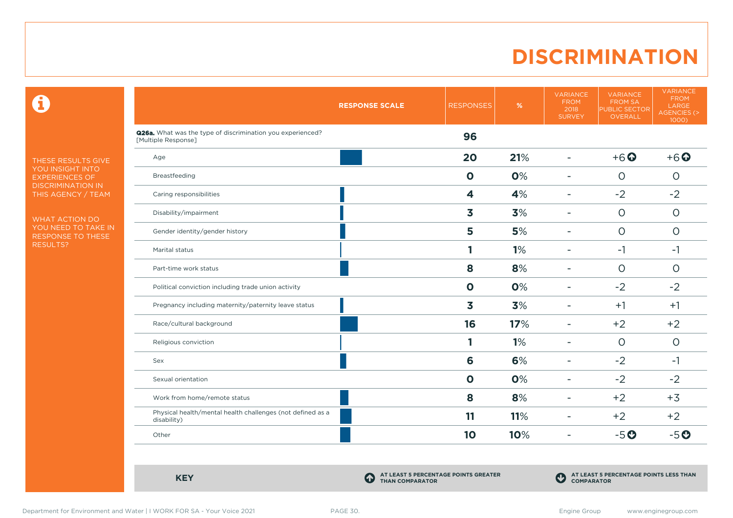# **DISCRIMINATION**

 $\mathbf \Theta$ 

THESE RESULTS GIVE YOU INSIGHT INTO EXPERIENCES OF DISCRIMINATION IN THIS AGENCY / TEAM

WHAT ACTION DO YOU NEED TO TAKE IN RESPONSE TO THESE RESULTS?

|                                                                                   | <b>RESPONSE SCALE</b> | <b>RESPONSES</b> | $\%$ | <b>VARIANCE</b><br><b>FROM</b><br>2018<br><b>SURVEY</b> | <b>VARIANCE</b><br><b>FROM SA</b><br>PUBLIC SECTOR<br>OVERALL | <b>VARIANCE</b><br><b>FROM</b><br>LARGE<br>AGENCIES (><br>1000) |
|-----------------------------------------------------------------------------------|-----------------------|------------------|------|---------------------------------------------------------|---------------------------------------------------------------|-----------------------------------------------------------------|
| Q26a. What was the type of discrimination you experienced?<br>[Multiple Response] |                       | 96               |      |                                                         |                                                               |                                                                 |
| Age                                                                               |                       | 20               | 21%  | $\blacksquare$                                          | $+6$ <sup><math>\odot</math></sup>                            | $+6$ $\odot$                                                    |
| Breastfeeding                                                                     |                       | $\mathbf 0$      | 0%   | $\overline{\phantom{0}}$                                | $\circ$                                                       | $\circ$                                                         |
| Caring responsibilities                                                           |                       | 4                | 4%   | $\overline{\phantom{a}}$                                | $-2$                                                          | $-2$                                                            |
| Disability/impairment                                                             |                       | 3                | 3%   | $\overline{\phantom{0}}$                                | $\circ$                                                       | $\circ$                                                         |
| Gender identity/gender history                                                    |                       | 5                | 5%   |                                                         | $\circ$                                                       | $\circ$                                                         |
| Marital status                                                                    |                       |                  | 1%   | $\blacksquare$                                          | $-1$                                                          | $-1$                                                            |
| Part-time work status                                                             |                       | 8                | 8%   | $\overline{\phantom{0}}$                                | $\circ$                                                       | $\circ$                                                         |
| Political conviction including trade union activity                               |                       | $\mathbf 0$      | 0%   | $\blacksquare$                                          | $-2$                                                          | $-2$                                                            |
| Pregnancy including maternity/paternity leave status                              |                       | 3                | 3%   | $\blacksquare$                                          | $+1$                                                          | $+1$                                                            |
| Race/cultural background                                                          |                       | 16               | 17%  | $\overline{\phantom{a}}$                                | $+2$                                                          | $+2$                                                            |
| Religious conviction                                                              |                       | 1                | 1%   | $\overline{\phantom{0}}$                                | $\circ$                                                       | $\circ$                                                         |
| Sex                                                                               |                       | 6                | 6%   | $\blacksquare$                                          | $-2$                                                          | $-1$                                                            |
| Sexual orientation                                                                |                       | $\mathbf{o}$     | 0%   | $\overline{\phantom{a}}$                                | $-2$                                                          | $-2$                                                            |
| Work from home/remote status                                                      |                       | 8                | 8%   | $\blacksquare$                                          | $+2$                                                          | $+3$                                                            |
| Physical health/mental health challenges (not defined as a<br>disability)         |                       | 11               | 11%  | ۰                                                       | $+2$                                                          | $+2$                                                            |
| Other                                                                             |                       | 10               | 10%  | $\blacksquare$                                          | $-5o$                                                         | $-5o$                                                           |

**KEY C** 

**AT LEAST 5 PERCENTAGE POINTS GREATER THAN COMPARATOR**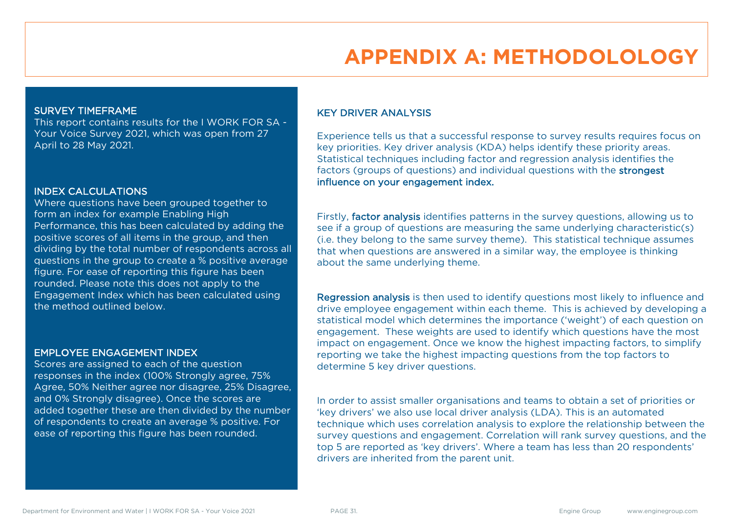# **APPENDIX A: METHODOLOLOGY**

#### SURVEY TIMEFRAME

This report contains results for the I WORK FOR SA - Your Voice Survey 2021, which was open from 27 April to 28 May 2021.

#### INDEX CALCULATIONS

Where questions have been grouped together to form an index for example Enabling High Performance, this has been calculated by adding the positive scores of all items in the group, and then dividing by the total number of respondents across all questions in the group to create a % positive average figure. For ease of reporting this figure has been rounded. Please note this does not apply to the Engagement Index which has been calculated using the method outlined below.

#### EMPLOYEE ENGAGEMENT INDEX

Scores are assigned to each of the question responses in the index (100% Strongly agree, 75% Agree, 50% Neither agree nor disagree, 25% Disagree, and 0% Strongly disagree). Once the scores are added together these are then divided by the number of respondents to create an average % positive. For ease of reporting this figure has been rounded.

### KEY DRIVER ANALYSIS

Experience tells us that a successful response to survey results requires focus on key priorities. Key driver analysis (KDA) helps identify these priority areas. Statistical techniques including factor and regression analysis identifies the factors (groups of questions) and individual questions with the strongest influence on your engagement index.

Firstly, factor analysis identifies patterns in the survey questions, allowing us to see if a group of questions are measuring the same underlying characteristic(s) (i.e. they belong to the same survey theme). This statistical technique assumes that when questions are answered in a similar way, the employee is thinking about the same underlying theme.

Regression analysis is then used to identify questions most likely to influence and drive employee engagement within each theme. This is achieved by developing a statistical model which determines the importance ('weight') of each question on engagement. These weights are used to identify which questions have the most impact on engagement. Once we know the highest impacting factors, to simplify reporting we take the highest impacting questions from the top factors to determine 5 key driver questions.

In order to assist smaller organisations and teams to obtain a set of priorities or 'key drivers' we also use local driver analysis (LDA). This is an automated technique which uses correlation analysis to explore the relationship between the survey questions and engagement. Correlation will rank survey questions, and the top 5 are reported as 'key drivers'. Where a team has less than 20 respondents' drivers are inherited from the parent unit.